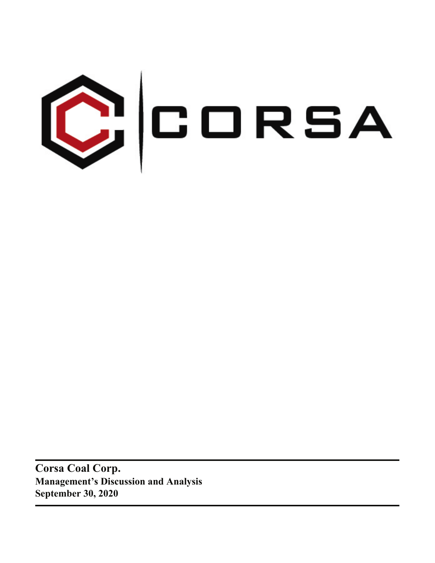

**Corsa Coal Corp. Management's Discussion and Analysis September 30, 2020**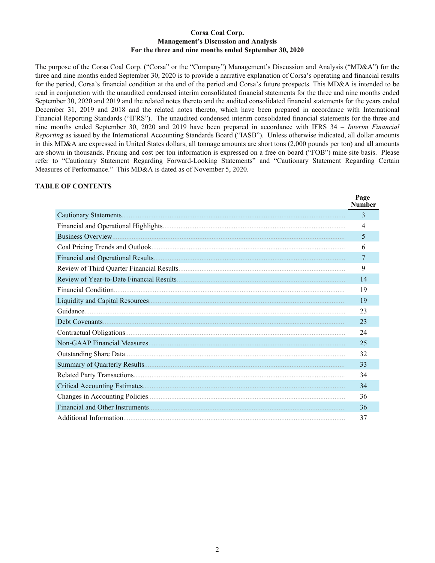### **Corsa Coal Corp. Management's Discussion and Analysis For the three and nine months ended September 30, 2020**

The purpose of the Corsa Coal Corp. ("Corsa" or the "Company") Management's Discussion and Analysis ("MD&A") for the three and nine months ended September 30, 2020 is to provide a narrative explanation of Corsa's operating and financial results for the period, Corsa's financial condition at the end of the period and Corsa's future prospects. This MD&A is intended to be read in conjunction with the unaudited condensed interim consolidated financial statements for the three and nine months ended September 30, 2020 and 2019 and the related notes thereto and the audited consolidated financial statements for the years ended December 31, 2019 and 2018 and the related notes thereto, which have been prepared in accordance with International Financial Reporting Standards ("IFRS"). The unaudited condensed interim consolidated financial statements for the three and nine months ended September 30, 2020 and 2019 have been prepared in accordance with IFRS 34 – *Interim Financial Reporting* as issued by the International Accounting Standards Board ("IASB"). Unless otherwise indicated, all dollar amounts in this MD&A are expressed in United States dollars, all tonnage amounts are short tons (2,000 pounds per ton) and all amounts are shown in thousands. Pricing and cost per ton information is expressed on a free on board ("FOB") mine site basis. Please refer to "Cautionary Statement Regarding Forward-Looking Statements" and "Cautionary Statement Regarding Certain Measures of Performance." This MD&A is dated as of November 5, 2020.

 $\mathbf{p}_{\alpha}$ 

### **TABLE OF CONTENTS**

|                        | r age<br><b>Number</b> |
|------------------------|------------------------|
|                        | 3                      |
|                        | 4                      |
|                        | 5                      |
|                        | 6                      |
|                        | 7                      |
|                        | 9                      |
|                        | 14                     |
|                        | 19                     |
|                        | 19                     |
|                        | 23                     |
|                        | 23                     |
|                        | 24                     |
|                        | 25                     |
|                        | 32                     |
|                        | 33                     |
|                        | 34                     |
|                        | 34                     |
|                        | 36                     |
|                        | 36                     |
| Additional Information | 37                     |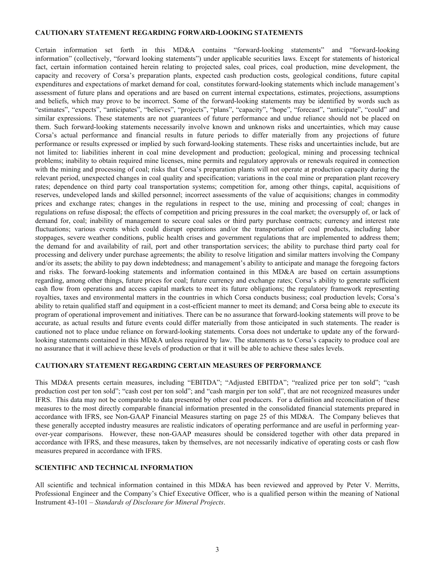### <span id="page-2-0"></span>**CAUTIONARY STATEMENT REGARDING FORWARD-LOOKING STATEMENTS**

Certain information set forth in this MD&A contains "forward-looking statements" and "forward-looking information" (collectively, "forward looking statements") under applicable securities laws. Except for statements of historical fact, certain information contained herein relating to projected sales, coal prices, coal production, mine development, the capacity and recovery of Corsa's preparation plants, expected cash production costs, geological conditions, future capital expenditures and expectations of market demand for coal, constitutes forward-looking statements which include management's assessment of future plans and operations and are based on current internal expectations, estimates, projections, assumptions and beliefs, which may prove to be incorrect. Some of the forward-looking statements may be identified by words such as "estimates", "expects", "anticipates", "believes", "projects", "plans", "capacity", "hope", "forecast", "anticipate", "could" and similar expressions. These statements are not guarantees of future performance and undue reliance should not be placed on them. Such forward-looking statements necessarily involve known and unknown risks and uncertainties, which may cause Corsa's actual performance and financial results in future periods to differ materially from any projections of future performance or results expressed or implied by such forward-looking statements. These risks and uncertainties include, but are not limited to: liabilities inherent in coal mine development and production; geological, mining and processing technical problems; inability to obtain required mine licenses, mine permits and regulatory approvals or renewals required in connection with the mining and processing of coal; risks that Corsa's preparation plants will not operate at production capacity during the relevant period, unexpected changes in coal quality and specification; variations in the coal mine or preparation plant recovery rates; dependence on third party coal transportation systems; competition for, among other things, capital, acquisitions of reserves, undeveloped lands and skilled personnel; incorrect assessments of the value of acquisitions; changes in commodity prices and exchange rates; changes in the regulations in respect to the use, mining and processing of coal; changes in regulations on refuse disposal; the effects of competition and pricing pressures in the coal market; the oversupply of, or lack of demand for, coal; inability of management to secure coal sales or third party purchase contracts; currency and interest rate fluctuations; various events which could disrupt operations and/or the transportation of coal products, including labor stoppages, severe weather conditions, public health crises and government regulations that are implemented to address them; the demand for and availability of rail, port and other transportation services; the ability to purchase third party coal for processing and delivery under purchase agreements; the ability to resolve litigation and similar matters involving the Company and/or its assets; the ability to pay down indebtedness; and management's ability to anticipate and manage the foregoing factors and risks. The forward-looking statements and information contained in this MD&A are based on certain assumptions regarding, among other things, future prices for coal; future currency and exchange rates; Corsa's ability to generate sufficient cash flow from operations and access capital markets to meet its future obligations; the regulatory framework representing royalties, taxes and environmental matters in the countries in which Corsa conducts business; coal production levels; Corsa's ability to retain qualified staff and equipment in a cost-efficient manner to meet its demand; and Corsa being able to execute its program of operational improvement and initiatives. There can be no assurance that forward-looking statements will prove to be accurate, as actual results and future events could differ materially from those anticipated in such statements. The reader is cautioned not to place undue reliance on forward-looking statements. Corsa does not undertake to update any of the forwardlooking statements contained in this MD&A unless required by law. The statements as to Corsa's capacity to produce coal are no assurance that it will achieve these levels of production or that it will be able to achieve these sales levels.

## **CAUTIONARY STATEMENT REGARDING CERTAIN MEASURES OF PERFORMANCE**

This MD&A presents certain measures, including "EBITDA"; "Adjusted EBITDA"; "realized price per ton sold"; "cash production cost per ton sold"; "cash cost per ton sold"; and "cash margin per ton sold", that are not recognized measures under IFRS. This data may not be comparable to data presented by other coal producers. For a definition and reconciliation of these measures to the most directly comparable financial information presented in the consolidated financial statements prepared in accordance with IFRS, see Non-GAAP Financial Measures starting on page 25 of this MD&A. The Company believes that these generally accepted industry measures are realistic indicators of operating performance and are useful in performing yearover-year comparisons. However, these non-GAAP measures should be considered together with other data prepared in accordance with IFRS, and these measures, taken by themselves, are not necessarily indicative of operating costs or cash flow measures prepared in accordance with IFRS.

### **SCIENTIFIC AND TECHNICAL INFORMATION**

All scientific and technical information contained in this MD&A has been reviewed and approved by Peter V. Merritts, Professional Engineer and the Company's Chief Executive Officer, who is a qualified person within the meaning of National Instrument 43-101 – *Standards of Disclosure for Mineral Projects*.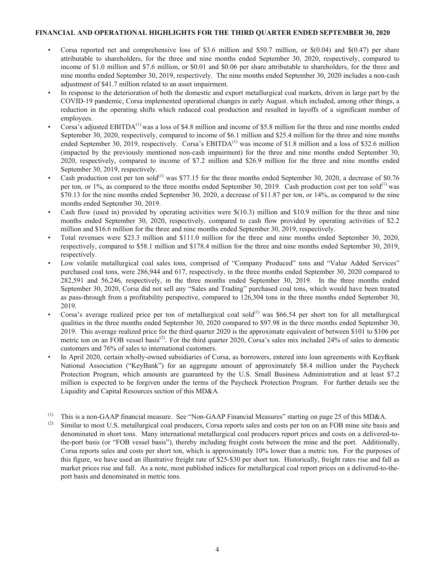### <span id="page-3-0"></span>**FINANCIAL AND OPERATIONAL HIGHLIGHTS FOR THE THIRD QUARTER ENDED SEPTEMBER 30, 2020**

- Corsa reported net and comprehensive loss of \$3.6 million and \$50.7 million, or  $\frac{6(0.04)}{10.04}$  and  $\frac{6(0.47)}{10.04}$  per share attributable to shareholders, for the three and nine months ended September 30, 2020, respectively, compared to income of \$1.0 million and \$7.6 million, or \$0.01 and \$0.06 per share attributable to shareholders, for the three and nine months ended September 30, 2019, respectively. The nine months ended September 30, 2020 includes a non-cash adjustment of \$41.7 million related to an asset impairment.
- In response to the deterioration of both the domestic and export metallurgical coal markets, driven in large part by the COVID-19 pandemic, Corsa implemented operational changes in early August. which included, among other things, a reduction in the operating shifts which reduced coal production and resulted in layoffs of a significant number of employees.
- Corsa's adjusted  $EBITDA<sup>(1)</sup>$  was a loss of \$4.8 million and income of \$5.8 million for the three and nine months ended September 30, 2020, respectively, compared to income of \$6.1 million and \$25.4 million for the three and nine months ended September 30, 2019, respectively. Corsa's EBITDA<sup>(1)</sup> was income of \$1.8 million and a loss of \$32.6 million (impacted by the previously mentioned non-cash impairment) for the three and nine months ended September 30, 2020, respectively, compared to income of \$7.2 million and \$26.9 million for the three and nine months ended September 30, 2019, respectively.
- Cash production cost per ton sold<sup>(1)</sup> was \$77.15 for the three months ended September 30, 2020, a decrease of \$0.76 per ton, or 1%, as compared to the three months ended September 30, 2019. Cash production cost per ton sold<sup>(1)</sup> was \$70.13 for the nine months ended September 30, 2020, a decrease of \$11.87 per ton, or 14%, as compared to the nine months ended September 30, 2019.
- Cash flow (used in) provided by operating activities were  $\$(10.3)$  million and  $\$10.9$  million for the three and nine months ended September 30, 2020, respectively, compared to cash flow provided by operating activities of \$2.2 million and \$16.6 million for the three and nine months ended September 30, 2019, respectively.
- Total revenues were \$23.3 million and \$111.0 million for the three and nine months ended September 30, 2020, respectively, compared to \$58.1 million and \$178.4 million for the three and nine months ended September 30, 2019, respectively.
- Low volatile metallurgical coal sales tons, comprised of "Company Produced" tons and "Value Added Services" purchased coal tons, were 286,944 and 617, respectively, in the three months ended September 30, 2020 compared to 282,591 and 56,246, respectively, in the three months ended September 30, 2019. In the three months ended September 30, 2020, Corsa did not sell any "Sales and Trading" purchased coal tons, which would have been treated as pass-through from a profitability perspective, compared to 126,304 tons in the three months ended September 30, 2019.
- Corsa's average realized price per ton of metallurgical coal sold<sup>(1)</sup> was \$66.54 per short ton for all metallurgical qualities in the three months ended September 30, 2020 compared to \$97.98 in the three months ended September 30, 2019. This average realized price for the third quarter 2020 is the approximate equivalent of between \$101 to \$106 per metric ton on an FOB vessel basis<sup>(2)</sup>. For the third quarter 2020, Corsa's sales mix included 24% of sales to domestic customers and 76% of sales to international customers.
- In April 2020, certain wholly-owned subsidiaries of Corsa, as borrowers, entered into loan agreements with KeyBank National Association ("KeyBank") for an aggregate amount of approximately \$8.4 million under the Paycheck Protection Program, which amounts are guaranteed by the U.S. Small Business Administration and at least \$7.2 million is expected to be forgiven under the terms of the Paycheck Protection Program. For further details see the Liquidity and Capital Resources section of this MD&A.

<sup>(2)</sup> Similar to most U.S. metallurgical coal producers, Corsa reports sales and costs per ton on an FOB mine site basis and denominated in short tons. Many international metallurgical coal producers report prices and costs on a delivered-tothe-port basis (or "FOB vessel basis"), thereby including freight costs between the mine and the port. Additionally, Corsa reports sales and costs per short ton, which is approximately 10% lower than a metric ton. For the purposes of this figure, we have used an illustrative freight rate of \$25-\$30 per short ton. Historically, freight rates rise and fall as market prices rise and fall. As a note, most published indices for metallurgical coal report prices on a delivered-to-theport basis and denominated in metric tons.

<sup>(1)</sup> This is a non-GAAP financial measure. See "Non-GAAP Financial Measures" starting on page 25 of this MD&A.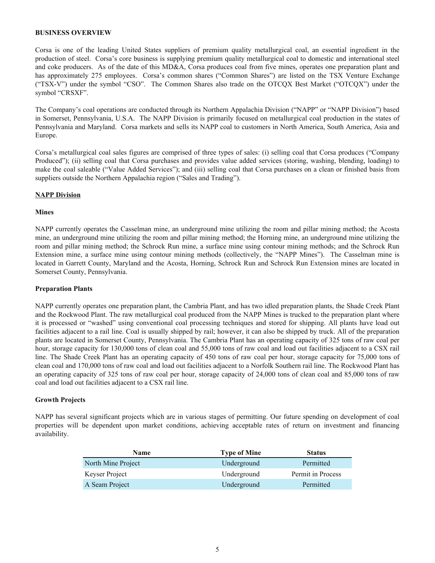### <span id="page-4-0"></span>**BUSINESS OVERVIEW**

Corsa is one of the leading United States suppliers of premium quality metallurgical coal, an essential ingredient in the production of steel. Corsa's core business is supplying premium quality metallurgical coal to domestic and international steel and coke producers. As of the date of this MD&A, Corsa produces coal from five mines, operates one preparation plant and has approximately 275 employees. Corsa's common shares ("Common Shares") are listed on the TSX Venture Exchange ("TSX-V") under the symbol "CSO". The Common Shares also trade on the OTCQX Best Market ("OTCQX") under the symbol "CRSXF".

The Company's coal operations are conducted through its Northern Appalachia Division ("NAPP" or "NAPP Division") based in Somerset, Pennsylvania, U.S.A. The NAPP Division is primarily focused on metallurgical coal production in the states of Pennsylvania and Maryland. Corsa markets and sells its NAPP coal to customers in North America, South America, Asia and Europe.

Corsa's metallurgical coal sales figures are comprised of three types of sales: (i) selling coal that Corsa produces ("Company Produced"); (ii) selling coal that Corsa purchases and provides value added services (storing, washing, blending, loading) to make the coal saleable ("Value Added Services"); and (iii) selling coal that Corsa purchases on a clean or finished basis from suppliers outside the Northern Appalachia region ("Sales and Trading").

### **NAPP Division**

### **Mines**

NAPP currently operates the Casselman mine, an underground mine utilizing the room and pillar mining method; the Acosta mine, an underground mine utilizing the room and pillar mining method; the Horning mine, an underground mine utilizing the room and pillar mining method; the Schrock Run mine, a surface mine using contour mining methods; and the Schrock Run Extension mine, a surface mine using contour mining methods (collectively, the "NAPP Mines"). The Casselman mine is located in Garrett County, Maryland and the Acosta, Horning, Schrock Run and Schrock Run Extension mines are located in Somerset County, Pennsylvania.

### **Preparation Plants**

NAPP currently operates one preparation plant, the Cambria Plant, and has two idled preparation plants, the Shade Creek Plant and the Rockwood Plant. The raw metallurgical coal produced from the NAPP Mines is trucked to the preparation plant where it is processed or "washed" using conventional coal processing techniques and stored for shipping. All plants have load out facilities adjacent to a rail line. Coal is usually shipped by rail; however, it can also be shipped by truck. All of the preparation plants are located in Somerset County, Pennsylvania. The Cambria Plant has an operating capacity of 325 tons of raw coal per hour, storage capacity for 130,000 tons of clean coal and 55,000 tons of raw coal and load out facilities adjacent to a CSX rail line. The Shade Creek Plant has an operating capacity of 450 tons of raw coal per hour, storage capacity for 75,000 tons of clean coal and 170,000 tons of raw coal and load out facilities adjacent to a Norfolk Southern rail line. The Rockwood Plant has an operating capacity of 325 tons of raw coal per hour, storage capacity of 24,000 tons of clean coal and 85,000 tons of raw coal and load out facilities adjacent to a CSX rail line.

## **Growth Projects**

NAPP has several significant projects which are in various stages of permitting. Our future spending on development of coal properties will be dependent upon market conditions, achieving acceptable rates of return on investment and financing availability.

| <b>Name</b>        | <b>Type of Mine</b> | <b>Status</b>     |
|--------------------|---------------------|-------------------|
| North Mine Project | Underground         | Permitted         |
| Keyser Project     | Underground         | Permit in Process |
| A Seam Project     | Underground         | Permitted         |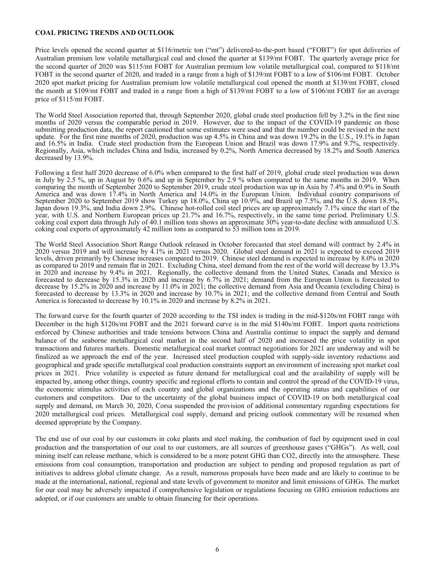### <span id="page-5-0"></span>**COAL PRICING TRENDS AND OUTLOOK**

Price levels opened the second quarter at \$116/metric ton ("mt") delivered-to-the-port based ("FOBT") for spot deliveries of Australian premium low volatile metallurgical coal and closed the quarter at \$139/mt FOBT. The quarterly average price for the second quarter of 2020 was \$115/mt FOBT for Australian premium low volatile metallurgical coal, compared to \$118/mt FOBT in the second quarter of 2020, and traded in a range from a high of \$139/mt FOBT to a low of \$106/mt FOBT. October 2020 spot market pricing for Australian premium low volatile metallurgical coal opened the month at \$139/mt FOBT, closed the month at \$109/mt FOBT and traded in a range from a high of \$139/mt FOBT to a low of \$106/mt FOBT for an average price of \$115/mt FOBT.

The World Steel Association reported that, through September 2020, global crude steel production fell by 3.2% in the first nine months of 2020 versus the comparable period in 2019. However, due to the impact of the COVID-19 pandemic on those submitting production data, the report cautioned that some estimates were used and that the number could be revised in the next update. For the first nine months of 2020, production was up 4.5% in China and was down 19.2% in the U.S., 19.1% in Japan and 16.5% in India. Crude steel production from the European Union and Brazil was down 17.9% and 9.7%, respectively. Regionally, Asia, which includes China and India, increased by 0.2%, North America decreased by 18.2% and South America decreased by 13.9%.

Following a first half 2020 decrease of 6.0% when compared to the first half of 2019, global crude steel production was down in July by 2.5 %, up in August by 0.6% and up in September by 2.9 % when compared to the same months in 2019. When comparing the month of September 2020 to September 2019, crude steel production was up in Asia by 7.4% and 0.9% in South America and was down 17.4% in North America and 14.0% in the European Union. Individual country comparisons of September 2020 to September 2019 show Turkey up 18.0%, China up 10.9%, and Brazil up 7.5%, and the U.S. down 18.5%, Japan down 19.3%, and India down 2.9%. Chinese hot-rolled coil steel prices are up approximately 7.1% since the start of the year, with U.S. and Northern European prices up 21.7% and 16.7%, respectively, in the same time period. Preliminary U.S. coking coal export data through July of 40.1 million tons shows an approximate 30% year-to-date decline with annualized U.S. coking coal exports of approximately 42 million tons as compared to 53 million tons in 2019.

The World Steel Association Short Range Outlook released in October forecasted that steel demand will contract by 2.4% in 2020 versus 2019 and will increase by 4.1% in 2021 versus 2020. Global steel demand in 2021 is expected to exceed 2019 levels, driven primarily by Chinese increases compared to 2019. Chinese steel demand is expected to increase by 8.0% in 2020 as compared to 2019 and remain flat in 2021. Excluding China, steel demand from the rest of the world will decrease by 13.3% in 2020 and increase by 9.4% in 2021. Regionally, the collective demand from the United States, Canada and Mexico is forecasted to decrease by 15.3% in 2020 and increase by 6.7% in 2021; demand from the European Union is forecasted to decrease by 15.2% in 2020 and increase by 11.0% in 2021; the collective demand from Asia and Oceania (excluding China) is forecasted to decrease by 13.3% in 2020 and increase by 10.7% in 2021; and the collective demand from Central and South America is forecasted to decrease by 10.1% in 2020 and increase by 8.2% in 2021.

The forward curve for the fourth quarter of 2020 according to the TSI index is trading in the mid-\$120s/mt FOBT range with December in the high \$120s/mt FOBT and the 2021 forward curve is in the mid \$140s/mt FOBT. Import quota restrictions enforced by Chinese authorities and trade tensions between China and Australia continue to impact the supply and demand balance of the seaborne metallurgical coal market in the second half of 2020 and increased the price volatility in spot transactions and futures markets. Domestic metallurgical coal market contract negotiations for 2021 are underway and will be finalized as we approach the end of the year. Increased steel production coupled with supply-side inventory reductions and geographical and grade specific metallurgical coal production constraints support an environment of increasing spot market coal prices in 2021. Price volatility is expected as future demand for metallurgical coal and the availability of supply will be impacted by, among other things, country specific and regional efforts to contain and control the spread of the COVID-19 virus, the economic stimulus activities of each country and global organizations and the operating status and capabilities of our customers and competitors. Due to the uncertainty of the global business impact of COVID-19 on both metallurgical coal supply and demand, on March 30, 2020, Corsa suspended the provision of additional commentary regarding expectations for 2020 metallurgical coal prices. Metallurgical coal supply, demand and pricing outlook commentary will be resumed when deemed appropriate by the Company.

The end use of our coal by our customers in coke plants and steel making, the combustion of fuel by equipment used in coal production and the transportation of our coal to our customers, are all sources of greenhouse gases ("GHGs"). As well, coal mining itself can release methane, which is considered to be a more potent GHG than CO2, directly into the atmosphere. These emissions from coal consumption, transportation and production are subject to pending and proposed regulation as part of initiatives to address global climate change. As a result, numerous proposals have been made and are likely to continue to be made at the international, national, regional and state levels of government to monitor and limit emissions of GHGs. The market for our coal may be adversely impacted if comprehensive legislation or regulations focusing on GHG emission reductions are adopted, or if our customers are unable to obtain financing for their operations.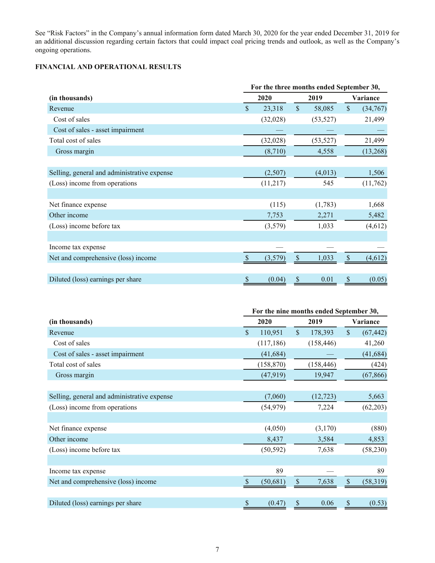<span id="page-6-0"></span>See "Risk Factors" in the Company's annual information form dated March 30, 2020 for the year ended December 31, 2019 for an additional discussion regarding certain factors that could impact coal pricing trends and outlook, as well as the Company's ongoing operations.

## **FINANCIAL AND OPERATIONAL RESULTS**

|                                             | For the three months ended September 30, |          |                           |           |                           |          |  |
|---------------------------------------------|------------------------------------------|----------|---------------------------|-----------|---------------------------|----------|--|
| (in thousands)                              |                                          | 2020     |                           | 2019      | Variance                  |          |  |
| Revenue                                     | $\mathbf{\hat{S}}$                       | 23,318   | $\boldsymbol{\mathsf{S}}$ | 58,085    | $\boldsymbol{\mathsf{S}}$ | (34,767) |  |
| Cost of sales                               |                                          | (32,028) |                           | (53, 527) |                           | 21,499   |  |
| Cost of sales - asset impairment            |                                          |          |                           |           |                           |          |  |
| Total cost of sales                         |                                          | (32,028) |                           | (53, 527) |                           | 21,499   |  |
| Gross margin                                |                                          | (8,710)  |                           | 4,558     |                           | (13,268) |  |
|                                             |                                          |          |                           |           |                           |          |  |
| Selling, general and administrative expense |                                          | (2,507)  |                           | (4,013)   |                           | 1,506    |  |
| (Loss) income from operations               |                                          | (11,217) |                           | 545       |                           | (11,762) |  |
|                                             |                                          |          |                           |           |                           |          |  |
| Net finance expense                         |                                          | (115)    |                           | (1,783)   |                           | 1,668    |  |
| Other income                                |                                          | 7,753    |                           | 2,271     |                           | 5,482    |  |
| (Loss) income before tax                    |                                          | (3,579)  |                           | 1,033     |                           | (4,612)  |  |
|                                             |                                          |          |                           |           |                           |          |  |
| Income tax expense                          |                                          |          |                           |           |                           |          |  |
| Net and comprehensive (loss) income         | $\mathcal{S}$                            | (3,579)  | \$                        | 1,033     | $\mathcal{S}$             | (4,612)  |  |
|                                             |                                          |          |                           |           |                           |          |  |
| Diluted (loss) earnings per share           | \$                                       | (0.04)   | \$                        | 0.01      | \$                        | (0.05)   |  |

|                                             | For the nine months ended September 30, |            |               |            |                           |           |  |  |
|---------------------------------------------|-----------------------------------------|------------|---------------|------------|---------------------------|-----------|--|--|
| (in thousands)                              |                                         | 2020       | 2019          |            |                           | Variance  |  |  |
| Revenue                                     | $\mathbf{s}$                            | 110,951    | \$            | 178,393    | $\boldsymbol{\mathsf{S}}$ | (67, 442) |  |  |
| Cost of sales                               |                                         | (117, 186) |               | (158, 446) |                           | 41,260    |  |  |
| Cost of sales - asset impairment            |                                         | (41, 684)  |               |            |                           | (41, 684) |  |  |
| Total cost of sales                         |                                         | (158, 870) |               | (158, 446) |                           | (424)     |  |  |
| Gross margin                                |                                         | (47, 919)  |               | 19,947     |                           | (67, 866) |  |  |
|                                             |                                         |            |               |            |                           |           |  |  |
| Selling, general and administrative expense |                                         | (7,060)    |               | (12, 723)  |                           | 5,663     |  |  |
| (Loss) income from operations               |                                         | (54, 979)  |               | 7,224      |                           | (62, 203) |  |  |
|                                             |                                         |            |               |            |                           |           |  |  |
| Net finance expense                         |                                         | (4,050)    |               | (3,170)    |                           | (880)     |  |  |
| Other income                                |                                         | 8,437      |               | 3,584      |                           | 4,853     |  |  |
| (Loss) income before tax                    |                                         | (50, 592)  |               | 7,638      |                           | (58, 230) |  |  |
|                                             |                                         |            |               |            |                           |           |  |  |
| Income tax expense                          |                                         | 89         |               |            |                           | 89        |  |  |
| Net and comprehensive (loss) income         | <sup>\$</sup>                           | (50, 681)  | $\mathcal{S}$ | 7,638      | $\mathbb{S}$              | (58, 319) |  |  |
|                                             |                                         |            |               |            |                           |           |  |  |
| Diluted (loss) earnings per share           | \$                                      | (0.47)     | \$            | 0.06       | \$                        | (0.53)    |  |  |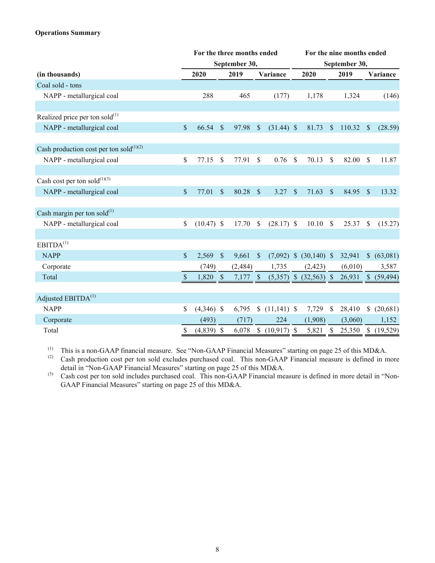## **Operations Summary**

|                                               |               |              |               | For the three months ended |               |               |               | For the nine months ended  |               |               |                |            |
|-----------------------------------------------|---------------|--------------|---------------|----------------------------|---------------|---------------|---------------|----------------------------|---------------|---------------|----------------|------------|
|                                               |               |              |               | September 30,              |               |               |               |                            |               | September 30, |                |            |
| (in thousands)                                |               | 2020         |               | 2019                       |               | Variance      |               | 2020                       |               | 2019          |                | Variance   |
| Coal sold - tons                              |               |              |               |                            |               |               |               |                            |               |               |                |            |
| NAPP - metallurgical coal                     |               | 288          |               | 465                        |               | (177)         |               | 1,178                      |               | 1,324         |                | (146)      |
|                                               |               |              |               |                            |               |               |               |                            |               |               |                |            |
| Realized price per ton sold $^{(1)}$          |               |              |               |                            |               |               |               |                            |               |               |                |            |
| NAPP - metallurgical coal                     | $\mathbb{S}$  | 66.54        | $\mathcal{S}$ | 97.98                      | $\mathbb{S}$  | $(31.44)$ \$  |               | 81.73                      | <sup>\$</sup> | 110.32        | <sup>S</sup>   | (28.59)    |
| Cash production cost per ton sold $^{(1)(2)}$ |               |              |               |                            |               |               |               |                            |               |               |                |            |
| NAPP - metallurgical coal                     | \$            | 77.15        | \$            | 77.91                      | \$            | 0.76          | S             | 70.13                      | <sup>\$</sup> | 82.00         | \$             | 11.87      |
|                                               |               |              |               |                            |               |               |               |                            |               |               |                |            |
| Cash cost per ton sold $^{(1)(3)}$            |               |              |               |                            |               |               |               |                            |               |               |                |            |
| NAPP - metallurgical coal                     | $\mathcal{S}$ | 77.01        | $\mathcal{S}$ | 80.28                      | $\mathcal{S}$ | 3.27          | \$            | 71.63                      | $\mathcal{S}$ | 84.95         | $\mathcal{S}$  | 13.32      |
| Cash margin per ton sold $^{(1)}$             |               |              |               |                            |               |               |               |                            |               |               |                |            |
| NAPP - metallurgical coal                     | $\mathsf{\$}$ | $(10.47)$ \$ |               | 17.70                      | \$            | $(28.17)$ \$  |               | 10.10                      | $\mathcal{S}$ | 25.37         | \$             | (15.27)    |
|                                               |               |              |               |                            |               |               |               |                            |               |               |                |            |
| EBITDA <sup>(1)</sup>                         |               |              |               |                            |               |               |               |                            |               |               |                |            |
| <b>NAPP</b>                                   | $\mathcal{S}$ | 2,569        | $\sqrt{\ }$   | 9,661                      | $\sqrt{\ }$   | (7,092)       | $\mathcal{S}$ | $(30,140)$ \$              |               | 32,941        | $\mathbb{S}^-$ | (63,081)   |
| Corporate                                     |               | (749)        |               | (2, 484)                   |               | 1,735         |               | (2, 423)                   |               | (6,010)       |                | 3,587      |
| Total                                         | $\mathcal{S}$ | 1,820        | $\mathcal{S}$ | 7,177                      | <sup>S</sup>  |               |               | $(5,357)$ \$ $(32,563)$ \$ |               | 26,931        | $\mathbb{S}$   | (59, 494)  |
| Adjusted EBITDA <sup>(1)</sup>                |               |              |               |                            |               |               |               |                            |               |               |                |            |
| <b>NAPP</b>                                   | \$            | $(4,346)$ \$ |               | 6,795                      | \$            | $(11,141)$ \$ |               | 7,729                      | \$            | 28,410        | \$             | (20,681)   |
| Corporate                                     |               | (493)        |               | (717)                      |               | 224           |               | (1,908)                    |               | (3,060)       |                | 1,152      |
| Total                                         | \$            | $(4,839)$ \$ |               | 6,078                      | \$            | (10, 917)     | <sup>\$</sup> | 5,821                      | $\mathbb{S}$  | 25,350        |                | \$(19,529) |

(1) This is a non-GAAP financial measure. See "Non-GAAP Financial Measures" starting on page 25 of this MD&A.<br>(2) Cash production cost per ton sold excludes purchased coal. This non-GAAP Financial measure is defined in m

Cash production cost per ton sold excludes purchased coal. This non-GAAP Financial measure is defined in more detail in "Non-GAAP Financial Measures" starting on page 25 of this MD&A.

(3) Cash cost per ton sold includes purchased coal. This non-GAAP Financial measure is defined in more detail in "Non-GAAP Financial Measures" starting on page 25 of this MD&A.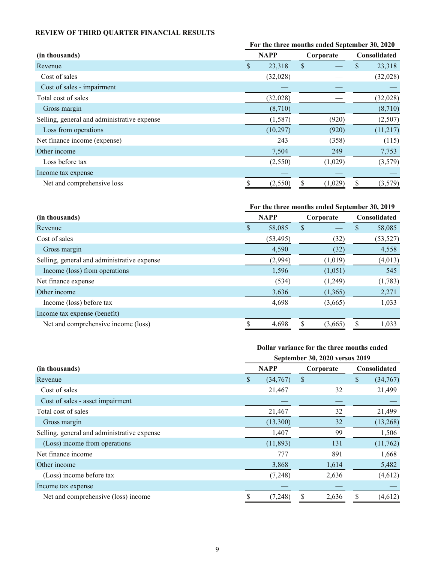# <span id="page-8-0"></span>**REVIEW OF THIRD QUARTER FINANCIAL RESULTS**

|                                             |     |             | For the three months ended September 30, 2020 |                     |          |
|---------------------------------------------|-----|-------------|-----------------------------------------------|---------------------|----------|
| (in thousands)                              |     | <b>NAPP</b> | Corporate                                     | <b>Consolidated</b> |          |
| Revenue                                     | \$. | 23,318      | \$                                            | \$.                 | 23,318   |
| Cost of sales                               |     | (32,028)    |                                               |                     | (32,028) |
| Cost of sales - impairment                  |     |             |                                               |                     |          |
| Total cost of sales                         |     | (32,028)    |                                               |                     | (32,028) |
| Gross margin                                |     | (8,710)     |                                               |                     | (8,710)  |
| Selling, general and administrative expense |     | (1, 587)    | (920)                                         |                     | (2,507)  |
| Loss from operations                        |     | (10, 297)   | (920)                                         |                     | (11,217) |
| Net finance income (expense)                |     | 243         | (358)                                         |                     | (115)    |
| Other income                                |     | 7,504       | 249                                           |                     | 7,753    |
| Loss before tax                             |     | (2,550)     | (1,029)                                       |                     | (3,579)  |
| Income tax expense                          |     |             |                                               |                     |          |
| Net and comprehensive loss                  |     | (2,550)     | (1,029)                                       | S                   | (3,579)  |

# **For the three months ended September 30, 2019**

| (in thousands)                              |   | <b>NAPP</b> |   | Corporate |   | <b>Consolidated</b> |
|---------------------------------------------|---|-------------|---|-----------|---|---------------------|
| Revenue                                     | S | 58,085      | S |           | P | 58,085              |
| Cost of sales                               |   | (53, 495)   |   | (32)      |   | (53, 527)           |
| Gross margin                                |   | 4,590       |   | (32)      |   | 4,558               |
| Selling, general and administrative expense |   | (2,994)     |   | (1,019)   |   | (4,013)             |
| Income (loss) from operations               |   | 1,596       |   | (1,051)   |   | 545                 |
| Net finance expense                         |   | (534)       |   | (1,249)   |   | (1,783)             |
| Other income                                |   | 3,636       |   | (1,365)   |   | 2,271               |
| Income (loss) before tax                    |   | 4,698       |   | (3,665)   |   | 1,033               |
| Income tax expense (benefit)                |   |             |   |           |   |                     |
| Net and comprehensive income (loss)         |   | 4,698       |   | (3,665)   |   | 1,033               |

## **Dollar variance for the three months ended**

|                                             | September 30, 2020 versus 2019 |             |    |       |                     |          |  |  |
|---------------------------------------------|--------------------------------|-------------|----|-------|---------------------|----------|--|--|
| (in thousands)                              |                                | <b>NAPP</b> |    |       | <b>Consolidated</b> |          |  |  |
| Revenue                                     | <sup>S</sup>                   | (34,767)    | \$ |       | \$                  | (34,767) |  |  |
| Cost of sales                               |                                | 21,467      |    | 32    |                     | 21,499   |  |  |
| Cost of sales - asset impairment            |                                |             |    |       |                     |          |  |  |
| Total cost of sales                         |                                | 21,467      |    | 32    |                     | 21,499   |  |  |
| Gross margin                                |                                | (13,300)    |    | 32    |                     | (13,268) |  |  |
| Selling, general and administrative expense |                                | 1,407       |    | 99    |                     | 1,506    |  |  |
| (Loss) income from operations               |                                | (11, 893)   |    | 131   |                     | (11,762) |  |  |
| Net finance income                          |                                | 777         |    | 891   |                     | 1,668    |  |  |
| Other income                                |                                | 3,868       |    | 1,614 |                     | 5,482    |  |  |
| (Loss) income before tax                    |                                | (7,248)     |    | 2,636 |                     | (4,612)  |  |  |
| Income tax expense                          |                                |             |    |       |                     |          |  |  |
| Net and comprehensive (loss) income         | \$                             | (7,248)     | S  | 2,636 | \$                  | (4,612)  |  |  |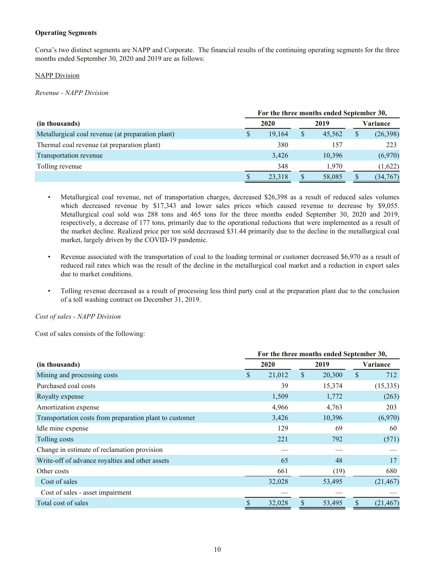## **Operating Segments**

Corsa's two distinct segments are NAPP and Corporate. The financial results of the continuing operating segments for the three months ended September 30, 2020 and 2019 are as follows:

### NAPP Division

*Revenue - NAPP Division*

|                                                   | For the three months ended September 30, |        |  |        |    |           |  |  |  |
|---------------------------------------------------|------------------------------------------|--------|--|--------|----|-----------|--|--|--|
| (in thousands)                                    |                                          | 2020   |  | 2019   |    | Variance  |  |  |  |
| Metallurgical coal revenue (at preparation plant) |                                          | 19.164 |  | 45.562 | \$ | (26, 398) |  |  |  |
| Thermal coal revenue (at preparation plant)       |                                          | 380    |  | 157    |    | 223       |  |  |  |
| Transportation revenue                            |                                          | 3,426  |  | 10,396 |    | (6,970)   |  |  |  |
| Tolling revenue                                   |                                          | 348    |  | 1.970  |    | (1,622)   |  |  |  |
|                                                   |                                          | 23,318 |  | 58,085 |    | (34, 767) |  |  |  |

- Metallurgical coal revenue, net of transportation charges, decreased \$26,398 as a result of reduced sales volumes which decreased revenue by \$17,343 and lower sales prices which caused revenue to decrease by \$9,055. Metallurgical coal sold was 288 tons and 465 tons for the three months ended September 30, 2020 and 2019, respectively, a decrease of 177 tons, primarily due to the operational reductions that were implemented as a result of the market decline. Realized price per ton sold decreased \$31.44 primarily due to the decline in the metallurgical coal market, largely driven by the COVID-19 pandemic.
- Revenue associated with the transportation of coal to the loading terminal or customer decreased \$6,970 as a result of reduced rail rates which was the result of the decline in the metallurgical coal market and a reduction in export sales due to market conditions.
- Tolling revenue decreased as a result of processing less third party coal at the preparation plant due to the conclusion of a toll washing contract on December 31, 2019.

*Cost of sales - NAPP Division*

Cost of sales consists of the following:

|                                                         | For the three months ended September 30, |        |    |        |          |           |  |  |
|---------------------------------------------------------|------------------------------------------|--------|----|--------|----------|-----------|--|--|
| (in thousands)                                          |                                          | 2020   |    | 2019   | Variance |           |  |  |
| Mining and processing costs                             | \$                                       | 21,012 | \$ | 20,300 | \$       | 712       |  |  |
| Purchased coal costs                                    |                                          | 39     |    | 15,374 |          | (15, 335) |  |  |
| Royalty expense                                         |                                          | 1,509  |    | 1,772  |          | (263)     |  |  |
| Amortization expense                                    |                                          | 4,966  |    | 4,763  |          | 203       |  |  |
| Transportation costs from preparation plant to customer |                                          | 3,426  |    | 10,396 |          | (6,970)   |  |  |
| Idle mine expense                                       |                                          | 129    |    | 69     |          | 60        |  |  |
| Tolling costs                                           |                                          | 221    |    | 792    |          | (571)     |  |  |
| Change in estimate of reclamation provision             |                                          |        |    |        |          |           |  |  |
| Write-off of advance royalties and other assets         |                                          | 65     |    | 48     |          | 17        |  |  |
| Other costs                                             |                                          | 661    |    | (19)   |          | 680       |  |  |
| Cost of sales                                           |                                          | 32,028 |    | 53,495 |          | (21, 467) |  |  |
| Cost of sales - asset impairment                        |                                          |        |    |        |          |           |  |  |
| Total cost of sales                                     |                                          | 32,028 |    | 53,495 | \$       | (21, 467) |  |  |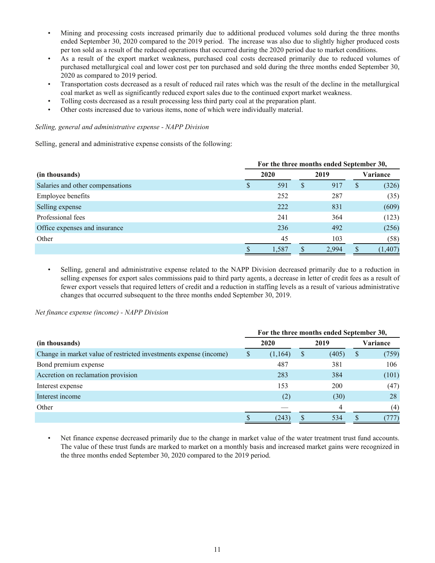- Mining and processing costs increased primarily due to additional produced volumes sold during the three months ended September 30, 2020 compared to the 2019 period. The increase was also due to slightly higher produced costs per ton sold as a result of the reduced operations that occurred during the 2020 period due to market conditions.
- As a result of the export market weakness, purchased coal costs decreased primarily due to reduced volumes of purchased metallurgical coal and lower cost per ton purchased and sold during the three months ended September 30, 2020 as compared to 2019 period.
- Transportation costs decreased as a result of reduced rail rates which was the result of the decline in the metallurgical coal market as well as significantly reduced export sales due to the continued export market weakness.
- Tolling costs decreased as a result processing less third party coal at the preparation plant.
- Other costs increased due to various items, none of which were individually material.

### *Selling, general and administrative expense - NAPP Division*

Selling, general and administrative expense consists of the following:

|                                  |   | For the three months ended September 30, |              |       |              |          |  |  |  |  |
|----------------------------------|---|------------------------------------------|--------------|-------|--------------|----------|--|--|--|--|
| (in thousands)                   |   | 2020                                     |              |       | Variance     |          |  |  |  |  |
| Salaries and other compensations | D | 591                                      | <sup>S</sup> | 917   | <sup>S</sup> | (326)    |  |  |  |  |
| <b>Employee benefits</b>         |   | 252                                      |              | 287   |              | (35)     |  |  |  |  |
| Selling expense                  |   | 222                                      |              | 831   |              | (609)    |  |  |  |  |
| Professional fees                |   | 241                                      |              | 364   |              | (123)    |  |  |  |  |
| Office expenses and insurance    |   | 236                                      |              | 492   |              | (256)    |  |  |  |  |
| Other                            |   | 45                                       |              | 103   |              | (58)     |  |  |  |  |
|                                  |   | 1,587                                    |              | 2.994 |              | (1, 407) |  |  |  |  |

• Selling, general and administrative expense related to the NAPP Division decreased primarily due to a reduction in selling expenses for export sales commissions paid to third party agents, a decrease in letter of credit fees as a result of fewer export vessels that required letters of credit and a reduction in staffing levels as a result of various administrative changes that occurred subsequent to the three months ended September 30, 2019.

*Net finance expense (income) - NAPP Division*

|                                                                   | For the three months ended September 30, |         |   |       |                           |       |  |  |  |
|-------------------------------------------------------------------|------------------------------------------|---------|---|-------|---------------------------|-------|--|--|--|
| (in thousands)                                                    | 2020                                     |         |   | 2019  | Variance                  |       |  |  |  |
| Change in market value of restricted investments expense (income) |                                          | (1,164) | S | (405) | $\boldsymbol{\mathsf{S}}$ | (759) |  |  |  |
| Bond premium expense                                              |                                          | 487     |   | 381   |                           | 106   |  |  |  |
| Accretion on reclamation provision                                |                                          | 283     |   | 384   |                           | (101) |  |  |  |
| Interest expense                                                  |                                          | 153     |   | 200   |                           | (47)  |  |  |  |
| Interest income                                                   |                                          | (2)     |   | (30)  |                           | 28    |  |  |  |
| Other                                                             |                                          |         |   | 4     |                           | (4)   |  |  |  |
|                                                                   |                                          | (243    |   | 534   |                           |       |  |  |  |

• Net finance expense decreased primarily due to the change in market value of the water treatment trust fund accounts. The value of these trust funds are marked to market on a monthly basis and increased market gains were recognized in the three months ended September 30, 2020 compared to the 2019 period.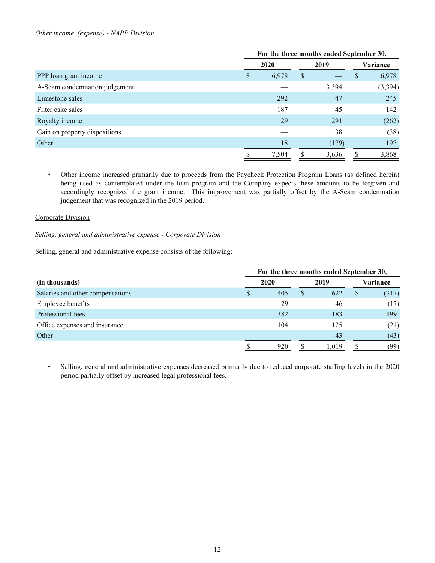### *Other income (expense) - NAPP Division*

|                               |      | For the three months ended September 30, |      |       |          |         |  |  |
|-------------------------------|------|------------------------------------------|------|-------|----------|---------|--|--|
|                               | 2020 |                                          | 2019 |       | Variance |         |  |  |
| PPP loan grant income         | S    | 6,978                                    | \$   |       | \$       | 6,978   |  |  |
| A-Seam condemnation judgement |      |                                          |      | 3,394 |          | (3,394) |  |  |
| Limestone sales               |      | 292                                      |      | 47    |          | 245     |  |  |
| Filter cake sales             |      | 187                                      |      | 45    |          | 142     |  |  |
| Royalty income                |      | 29                                       |      | 291   |          | (262)   |  |  |
| Gain on property dispositions |      |                                          |      | 38    |          | (38)    |  |  |
| Other                         |      | 18                                       |      | (179) |          | 197     |  |  |
|                               |      | 7,504                                    |      | 3,636 |          | 3,868   |  |  |

*•* Other income increased primarily due to proceeds from the Paycheck Protection Program Loans (as defined herein) being used as contemplated under the loan program and the Company expects these amounts to be forgiven and accordingly recognized the grant income. This improvement was partially offset by the A-Seam condemnation judgement that was recognized in the 2019 period.

## Corporate Division

*Selling, general and administrative expense - Corporate Division*

Selling, general and administrative expense consists of the following:

|                                  |   | For the three months ended September 30, |  |       |    |          |  |  |  |
|----------------------------------|---|------------------------------------------|--|-------|----|----------|--|--|--|
| (in thousands)                   |   | 2020                                     |  | 2019  |    | Variance |  |  |  |
| Salaries and other compensations | S | 405                                      |  | 622   | \$ | (217)    |  |  |  |
| Employee benefits                |   | 29                                       |  | 46    |    | (17)     |  |  |  |
| Professional fees                |   | 382                                      |  | 183   |    | 199      |  |  |  |
| Office expenses and insurance    |   | 104                                      |  | 125   |    | (21)     |  |  |  |
| Other                            |   |                                          |  | 43    |    | (43)     |  |  |  |
|                                  |   | 920                                      |  | 1.019 |    | (99)     |  |  |  |

• Selling, general and administrative expenses decreased primarily due to reduced corporate staffing levels in the 2020 period partially offset by increased legal professional fees.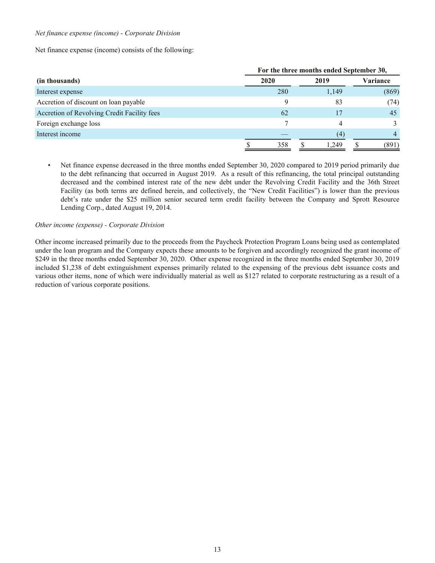### *Net finance expense (income) - Corporate Division*

Net finance expense (income) consists of the following:

|                                             |      | For the three months ended September 30, |       |  |          |  |  |  |  |
|---------------------------------------------|------|------------------------------------------|-------|--|----------|--|--|--|--|
| (in thousands)                              | 2020 |                                          | 2019  |  | Variance |  |  |  |  |
| Interest expense                            | 280  |                                          | 1,149 |  | (869)    |  |  |  |  |
| Accretion of discount on loan payable       |      |                                          | 83    |  | (74)     |  |  |  |  |
| Accretion of Revolving Credit Facility fees | 62   |                                          | 17    |  | 45       |  |  |  |  |
| Foreign exchange loss                       |      |                                          | 4     |  |          |  |  |  |  |
| Interest income                             |      |                                          | (4)   |  | 4        |  |  |  |  |
|                                             | 358  |                                          | 1.249 |  | (891)    |  |  |  |  |

• Net finance expense decreased in the three months ended September 30, 2020 compared to 2019 period primarily due to the debt refinancing that occurred in August 2019. As a result of this refinancing, the total principal outstanding decreased and the combined interest rate of the new debt under the Revolving Credit Facility and the 36th Street Facility (as both terms are defined herein, and collectively, the "New Credit Facilities") is lower than the previous debt's rate under the \$25 million senior secured term credit facility between the Company and Sprott Resource Lending Corp., dated August 19, 2014.

## *Other income (expense) - Corporate Division*

Other income increased primarily due to the proceeds from the Paycheck Protection Program Loans being used as contemplated under the loan program and the Company expects these amounts to be forgiven and accordingly recognized the grant income of \$249 in the three months ended September 30, 2020. Other expense recognized in the three months ended September 30, 2019 included \$1,238 of debt extinguishment expenses primarily related to the expensing of the previous debt issuance costs and various other items, none of which were individually material as well as \$127 related to corporate restructuring as a result of a reduction of various corporate positions.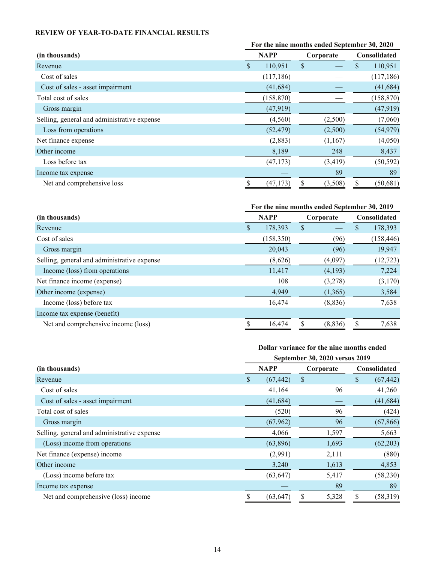## <span id="page-13-0"></span>**REVIEW OF YEAR-TO-DATE FINANCIAL RESULTS**

|                                             | For the nine months ended September 30, 2020 |            |           |          |                     |            |  |
|---------------------------------------------|----------------------------------------------|------------|-----------|----------|---------------------|------------|--|
| (in thousands)                              | <b>NAPP</b>                                  |            | Corporate |          | <b>Consolidated</b> |            |  |
| Revenue                                     | \$                                           | 110,951    | \$        |          | \$                  | 110,951    |  |
| Cost of sales                               |                                              | (117, 186) |           |          |                     | (117, 186) |  |
| Cost of sales - asset impairment            |                                              | (41, 684)  |           |          |                     | (41, 684)  |  |
| Total cost of sales                         |                                              | (158, 870) |           |          |                     | (158, 870) |  |
| Gross margin                                |                                              | (47,919)   |           |          |                     | (47, 919)  |  |
| Selling, general and administrative expense |                                              | (4,560)    |           | (2,500)  |                     | (7,060)    |  |
| Loss from operations                        |                                              | (52, 479)  |           | (2,500)  |                     | (54, 979)  |  |
| Net finance expense                         |                                              | (2,883)    |           | (1,167)  |                     | (4,050)    |  |
| Other income                                |                                              | 8,189      |           | 248      |                     | 8,437      |  |
| Loss before tax                             |                                              | (47, 173)  |           | (3, 419) |                     | (50, 592)  |  |
| Income tax expense                          |                                              |            |           | 89       |                     | 89         |  |
| Net and comprehensive loss                  |                                              | (47, 173)  |           | (3,508)  | \$                  | (50, 681)  |  |

# **For the nine months ended September 30, 2019**

| (in thousands)                              |   | <b>NAPP</b> | Corporate |   | <b>Consolidated</b> |
|---------------------------------------------|---|-------------|-----------|---|---------------------|
| Revenue                                     | S | 178,393     | \$        | S | 178,393             |
| Cost of sales                               |   | (158, 350)  | (96)      |   | (158, 446)          |
| Gross margin                                |   | 20,043      | (96)      |   | 19,947              |
| Selling, general and administrative expense |   | (8,626)     | (4,097)   |   | (12, 723)           |
| Income (loss) from operations               |   | 11,417      | (4,193)   |   | 7,224               |
| Net finance income (expense)                |   | 108         | (3,278)   |   | (3,170)             |
| Other income (expense)                      |   | 4,949       | (1,365)   |   | 3,584               |
| Income (loss) before tax                    |   | 16,474      | (8, 836)  |   | 7,638               |
| Income tax expense (benefit)                |   |             |           |   |                     |
| Net and comprehensive income (loss)         |   | 16,474      | (8, 836)  |   | 7,638               |

## **Dollar variance for the nine months ended**

|                                             | September 30, 2020 versus 2019 |    |           |    |              |  |  |
|---------------------------------------------|--------------------------------|----|-----------|----|--------------|--|--|
| (in thousands)                              | <b>NAPP</b>                    |    | Corporate |    | Consolidated |  |  |
| Revenue                                     | \$<br>(67, 442)                | \$ |           | \$ | (67, 442)    |  |  |
| Cost of sales                               | 41,164                         |    | 96        |    | 41,260       |  |  |
| Cost of sales - asset impairment            | (41, 684)                      |    |           |    | (41, 684)    |  |  |
| Total cost of sales                         | (520)                          |    | 96        |    | (424)        |  |  |
| Gross margin                                | (67, 962)                      |    | 96        |    | (67, 866)    |  |  |
| Selling, general and administrative expense | 4,066                          |    | 1,597     |    | 5,663        |  |  |
| (Loss) income from operations               | (63,896)                       |    | 1,693     |    | (62,203)     |  |  |
| Net finance (expense) income                | (2,991)                        |    | 2,111     |    | (880)        |  |  |
| Other income                                | 3,240                          |    | 1,613     |    | 4,853        |  |  |
| (Loss) income before tax                    | (63, 647)                      |    | 5,417     |    | (58, 230)    |  |  |
| Income tax expense                          |                                |    | 89        |    | 89           |  |  |
| Net and comprehensive (loss) income         | (63, 647)                      | S  | 5,328     | \$ | (58, 319)    |  |  |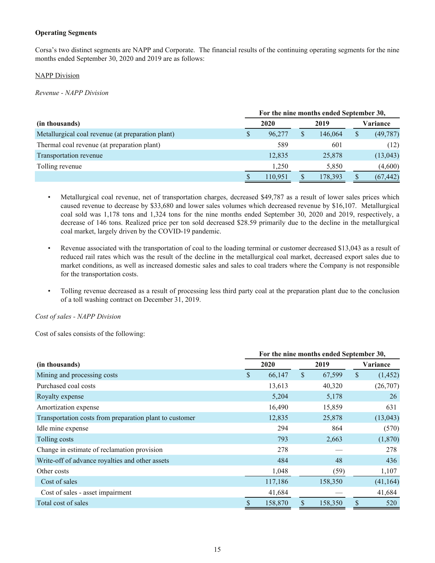## **Operating Segments**

Corsa's two distinct segments are NAPP and Corporate. The financial results of the continuing operating segments for the nine months ended September 30, 2020 and 2019 are as follows:

## NAPP Division

*Revenue - NAPP Division*

|                                                   | For the nine months ended September 30, |         |  |         |    |                 |  |  |
|---------------------------------------------------|-----------------------------------------|---------|--|---------|----|-----------------|--|--|
| (in thousands)                                    |                                         | 2020    |  | 2019    |    | <b>Variance</b> |  |  |
| Metallurgical coal revenue (at preparation plant) | S                                       | 96,277  |  | 146,064 | \$ | (49, 787)       |  |  |
| Thermal coal revenue (at preparation plant)       |                                         | 589     |  | 601     |    | (12)            |  |  |
| Transportation revenue                            |                                         | 12,835  |  | 25,878  |    | (13, 043)       |  |  |
| Tolling revenue                                   |                                         | 1.250   |  | 5,850   |    | (4,600)         |  |  |
|                                                   |                                         | 110,951 |  | 178,393 |    | (67, 442)       |  |  |

- Metallurgical coal revenue, net of transportation charges, decreased \$49,787 as a result of lower sales prices which caused revenue to decrease by \$33,680 and lower sales volumes which decreased revenue by \$16,107. Metallurgical coal sold was 1,178 tons and 1,324 tons for the nine months ended September 30, 2020 and 2019, respectively, a decrease of 146 tons. Realized price per ton sold decreased \$28.59 primarily due to the decline in the metallurgical coal market, largely driven by the COVID-19 pandemic.
- Revenue associated with the transportation of coal to the loading terminal or customer decreased \$13,043 as a result of reduced rail rates which was the result of the decline in the metallurgical coal market, decreased export sales due to market conditions, as well as increased domestic sales and sales to coal traders where the Company is not responsible for the transportation costs.
- Tolling revenue decreased as a result of processing less third party coal at the preparation plant due to the conclusion of a toll washing contract on December 31, 2019.

*Cost of sales - NAPP Division*

Cost of sales consists of the following:

|                                                         | For the nine months ended September 30, |         |              |         |    |           |  |
|---------------------------------------------------------|-----------------------------------------|---------|--------------|---------|----|-----------|--|
| (in thousands)                                          |                                         | 2020    |              | 2019    |    | Variance  |  |
| Mining and processing costs                             | \$                                      | 66,147  | $\mathbb{S}$ | 67,599  | \$ | (1, 452)  |  |
| Purchased coal costs                                    |                                         | 13,613  |              | 40,320  |    | (26,707)  |  |
| Royalty expense                                         |                                         | 5,204   |              | 5,178   |    | 26        |  |
| Amortization expense                                    |                                         | 16,490  |              | 15,859  |    | 631       |  |
| Transportation costs from preparation plant to customer |                                         | 12,835  |              | 25,878  |    | (13, 043) |  |
| Idle mine expense                                       |                                         | 294     |              | 864     |    | (570)     |  |
| Tolling costs                                           |                                         | 793     |              | 2,663   |    | (1,870)   |  |
| Change in estimate of reclamation provision             |                                         | 278     |              |         |    | 278       |  |
| Write-off of advance royalties and other assets         |                                         | 484     |              | 48      |    | 436       |  |
| Other costs                                             |                                         | 1,048   |              | (59)    |    | 1,107     |  |
| Cost of sales                                           |                                         | 117,186 |              | 158,350 |    | (41, 164) |  |
| Cost of sales - asset impairment                        |                                         | 41,684  |              |         |    | 41,684    |  |
| Total cost of sales                                     |                                         | 158,870 |              | 158,350 | \$ | 520       |  |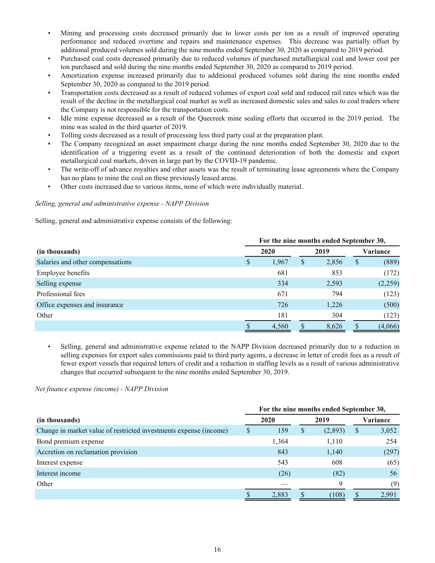- Mining and processing costs decreased primarily due to lower costs per ton as a result of improved operating performance and reduced overtime and repairs and maintenance expenses. This decrease was partially offset by additional produced volumes sold during the nine months ended September 30, 2020 as compared to 2019 period.
- Purchased coal costs decreased primarily due to reduced volumes of purchased metallurgical coal and lower cost per ton purchased and sold during the nine months ended September 30, 2020 as compared to 2019 period.
- Amortization expense increased primarily due to additional produced volumes sold during the nine months ended September 30, 2020 as compared to the 2019 period.
- Transportation costs decreased as a result of reduced volumes of export coal sold and reduced rail rates which was the result of the decline in the metallurgical coal market as well as increased domestic sales and sales to coal traders where the Company is not responsible for the transportation costs.
- Idle mine expense decreased as a result of the Quecreek mine sealing efforts that occurred in the 2019 period. The mine was sealed in the third quarter of 2019.
- Tolling costs decreased as a result of processing less third party coal at the preparation plant.
- The Company recognized an asset impairment charge during the nine months ended September 30, 2020 due to the identification of a triggering event as a result of the continued deterioration of both the domestic and export metallurgical coal markets, driven in large part by the COVID-19 pandemic.
- The write-off of advance royalties and other assets was the result of terminating lease agreements where the Company has no plans to mine the coal on these previously leased areas.
- Other costs increased due to various items, none of which were individually material.

## *Selling, general and administrative expense - NAPP Division*

Selling, general and administrative expense consists of the following:

|                                  | For the nine months ended September 30, |       |   |       |    |          |  |
|----------------------------------|-----------------------------------------|-------|---|-------|----|----------|--|
| (in thousands)                   |                                         | 2020  |   | 2019  |    | Variance |  |
| Salaries and other compensations | S                                       | 1,967 | S | 2,856 | \$ | (889)    |  |
| Employee benefits                |                                         | 681   |   | 853   |    | (172)    |  |
| Selling expense                  |                                         | 334   |   | 2,593 |    | (2,259)  |  |
| Professional fees                |                                         | 671   |   | 794   |    | (123)    |  |
| Office expenses and insurance    |                                         | 726   |   | 1,226 |    | (500)    |  |
| Other                            |                                         | 181   |   | 304   |    | (123)    |  |
|                                  |                                         | 4,560 |   | 8,626 |    | (4,066)  |  |

• Selling, general and administrative expense related to the NAPP Division decreased primarily due to a reduction in selling expenses for export sales commissions paid to third party agents, a decrease in letter of credit fees as a result of fewer export vessels that required letters of credit and a reduction in staffing levels as a result of various administrative changes that occurred subsequent to the nine months ended September 30, 2019.

## *Net finance expense (income) - NAPP Division*

|                                                                   | For the nine months ended September 30, |       |   |         |               |          |  |  |
|-------------------------------------------------------------------|-----------------------------------------|-------|---|---------|---------------|----------|--|--|
| (in thousands)                                                    |                                         | 2020  |   | 2019    |               | Variance |  |  |
| Change in market value of restricted investments expense (income) |                                         | 159   | S | (2,893) | <sup>\$</sup> | 3,052    |  |  |
| Bond premium expense                                              |                                         | 1,364 |   | 1,110   |               | 254      |  |  |
| Accretion on reclamation provision                                |                                         | 843   |   | 1,140   |               | (297)    |  |  |
| Interest expense                                                  |                                         | 543   |   | 608     |               | (65)     |  |  |
| Interest income                                                   |                                         | (26)  |   | (82)    |               | 56       |  |  |
| Other                                                             |                                         |       |   | 9       |               | (9)      |  |  |
|                                                                   |                                         | 2,883 |   | (108)   |               | 2,991    |  |  |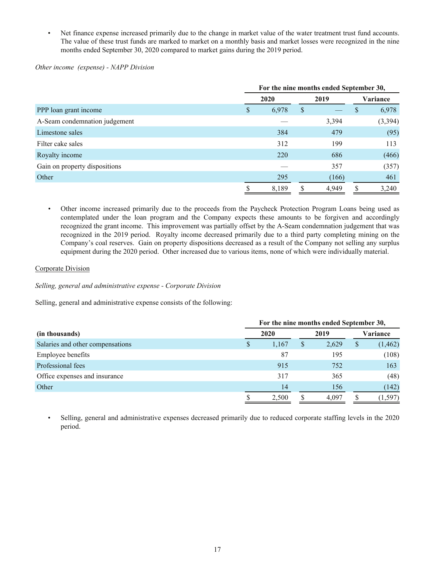Net finance expense increased primarily due to the change in market value of the water treatment trust fund accounts. The value of these trust funds are marked to market on a monthly basis and market losses were recognized in the nine months ended September 30, 2020 compared to market gains during the 2019 period.

## *Other income (expense) - NAPP Division*

|                               |   | For the nine months ended September 30, |    |       |    |          |  |  |
|-------------------------------|---|-----------------------------------------|----|-------|----|----------|--|--|
|                               |   | 2020                                    |    | 2019  |    | Variance |  |  |
| PPP loan grant income         | S | 6,978                                   | \$ |       | \$ | 6,978    |  |  |
| A-Seam condemnation judgement |   |                                         |    | 3,394 |    | (3, 394) |  |  |
| Limestone sales               |   | 384                                     |    | 479   |    | (95)     |  |  |
| Filter cake sales             |   | 312                                     |    | 199   |    | 113      |  |  |
| Royalty income                |   | 220                                     |    | 686   |    | (466)    |  |  |
| Gain on property dispositions |   |                                         |    | 357   |    | (357)    |  |  |
| Other                         |   | 295                                     |    | (166) |    | 461      |  |  |
|                               | S | 8,189                                   | S  | 4,949 | S  | 3,240    |  |  |

*•* Other income increased primarily due to the proceeds from the Paycheck Protection Program Loans being used as contemplated under the loan program and the Company expects these amounts to be forgiven and accordingly recognized the grant income. This improvement was partially offset by the A-Seam condemnation judgement that was recognized in the 2019 period. Royalty income decreased primarily due to a third party completing mining on the Company's coal reserves. Gain on property dispositions decreased as a result of the Company not selling any surplus equipment during the 2020 period. Other increased due to various items, none of which were individually material.

## Corporate Division

*Selling, general and administrative expense - Corporate Division*

Selling, general and administrative expense consists of the following:

|                                  |   | For the nine months ended September 30, |    |       |              |          |  |  |
|----------------------------------|---|-----------------------------------------|----|-------|--------------|----------|--|--|
| (in thousands)                   |   | 2020                                    |    | 2019  |              | Variance |  |  |
| Salaries and other compensations | S | 1,167                                   | \$ | 2,629 | $\mathbb{S}$ | (1, 462) |  |  |
| Employee benefits                |   | 87                                      |    | 195   |              | (108)    |  |  |
| Professional fees                |   | 915                                     |    | 752   |              | 163      |  |  |
| Office expenses and insurance    |   | 317                                     |    | 365   |              | (48)     |  |  |
| Other                            |   | 14                                      |    | 156   |              | (142)    |  |  |
|                                  |   | 2,500                                   |    | 4.097 |              | (1, 597) |  |  |

• Selling, general and administrative expenses decreased primarily due to reduced corporate staffing levels in the 2020 period.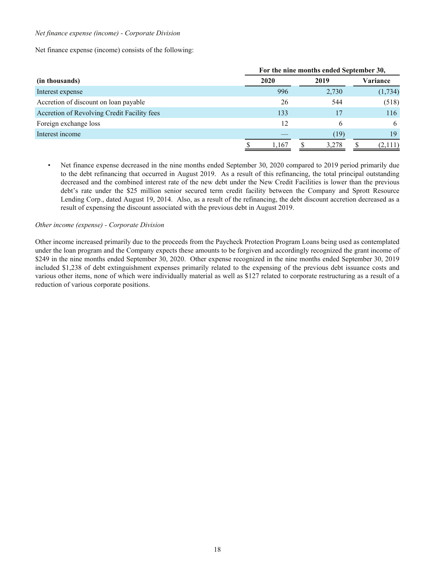### *Net finance expense (income) - Corporate Division*

Net finance expense (income) consists of the following:

|                                             | For the nine months ended September 30, |  |       |  |                 |  |  |  |  |  |  |  |
|---------------------------------------------|-----------------------------------------|--|-------|--|-----------------|--|--|--|--|--|--|--|
| (in thousands)                              | 2020                                    |  | 2019  |  | <b>Variance</b> |  |  |  |  |  |  |  |
| Interest expense                            | 996                                     |  | 2,730 |  | (1,734)         |  |  |  |  |  |  |  |
| Accretion of discount on loan payable       | 26                                      |  | 544   |  | (518)           |  |  |  |  |  |  |  |
| Accretion of Revolving Credit Facility fees | 133                                     |  | 17    |  | 116             |  |  |  |  |  |  |  |
| Foreign exchange loss                       | 12                                      |  | b     |  | h               |  |  |  |  |  |  |  |
| Interest income                             |                                         |  | (19)  |  | 19              |  |  |  |  |  |  |  |
|                                             | 1.167                                   |  | 3,278 |  | (2,111)         |  |  |  |  |  |  |  |

• Net finance expense decreased in the nine months ended September 30, 2020 compared to 2019 period primarily due to the debt refinancing that occurred in August 2019. As a result of this refinancing, the total principal outstanding decreased and the combined interest rate of the new debt under the New Credit Facilities is lower than the previous debt's rate under the \$25 million senior secured term credit facility between the Company and Sprott Resource Lending Corp., dated August 19, 2014. Also, as a result of the refinancing, the debt discount accretion decreased as a result of expensing the discount associated with the previous debt in August 2019.

### *Other income (expense) - Corporate Division*

Other income increased primarily due to the proceeds from the Paycheck Protection Program Loans being used as contemplated under the loan program and the Company expects these amounts to be forgiven and accordingly recognized the grant income of \$249 in the nine months ended September 30, 2020. Other expense recognized in the nine months ended September 30, 2019 included \$1,238 of debt extinguishment expenses primarily related to the expensing of the previous debt issuance costs and various other items, none of which were individually material as well as \$127 related to corporate restructuring as a result of a reduction of various corporate positions.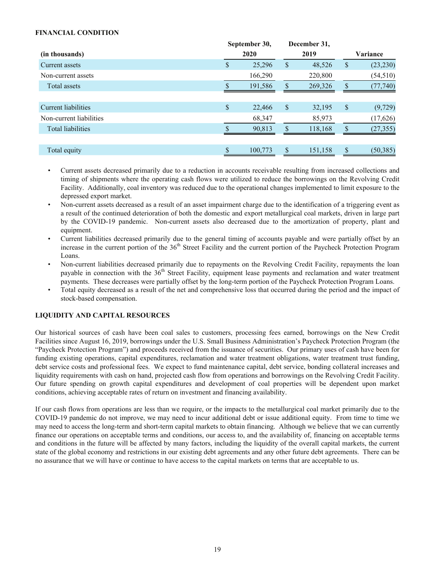## <span id="page-18-0"></span>**FINANCIAL CONDITION**

|                          | September 30, |               | December 31, |                 |
|--------------------------|---------------|---------------|--------------|-----------------|
| (in thousands)           | 2020          |               | 2019         | Variance        |
| Current assets           | \$<br>25,296  | \$            | 48,526       | \$<br>(23, 230) |
| Non-current assets       | 166,290       |               | 220,800      | (54, 510)       |
| Total assets             | 191,586       |               | 269,326      | \$<br>(77, 740) |
|                          |               |               |              |                 |
| Current liabilities      | \$<br>22,466  | $\mathcal{S}$ | 32,195       | \$<br>(9, 729)  |
| Non-current liabilities  | 68,347        |               | 85,973       | (17, 626)       |
| <b>Total liabilities</b> | 90,813        | $\mathcal{S}$ | 118,168      | \$<br>(27, 355) |
|                          |               |               |              |                 |
| Total equity             | 100,773       | \$.           | 151,158      | \$<br>(50, 385) |

- Current assets decreased primarily due to a reduction in accounts receivable resulting from increased collections and timing of shipments where the operating cash flows were utilized to reduce the borrowings on the Revolving Credit Facility. Additionally, coal inventory was reduced due to the operational changes implemented to limit exposure to the depressed export market.
- Non-current assets decreased as a result of an asset impairment charge due to the identification of a triggering event as a result of the continued deterioration of both the domestic and export metallurgical coal markets, driven in large part by the COVID-19 pandemic. Non-current assets also decreased due to the amortization of property, plant and equipment.
- Current liabilities decreased primarily due to the general timing of accounts payable and were partially offset by an increase in the current portion of the  $36<sup>th</sup>$  Street Facility and the current portion of the Paycheck Protection Program Loans.
- Non-current liabilities decreased primarily due to repayments on the Revolving Credit Facility, repayments the loan payable in connection with the  $36<sup>th</sup>$  Street Facility, equipment lease payments and reclamation and water treatment payments. These decreases were partially offset by the long-term portion of the Paycheck Protection Program Loans.
- Total equity decreased as a result of the net and comprehensive loss that occurred during the period and the impact of stock-based compensation.

## **LIQUIDITY AND CAPITAL RESOURCES**

Our historical sources of cash have been coal sales to customers, processing fees earned, borrowings on the New Credit Facilities since August 16, 2019, borrowings under the U.S. Small Business Administration's Paycheck Protection Program (the "Paycheck Protection Program") and proceeds received from the issuance of securities. Our primary uses of cash have been for funding existing operations, capital expenditures, reclamation and water treatment obligations, water treatment trust funding, debt service costs and professional fees. We expect to fund maintenance capital, debt service, bonding collateral increases and liquidity requirements with cash on hand, projected cash flow from operations and borrowings on the Revolving Credit Facility. Our future spending on growth capital expenditures and development of coal properties will be dependent upon market conditions, achieving acceptable rates of return on investment and financing availability.

If our cash flows from operations are less than we require, or the impacts to the metallurgical coal market primarily due to the COVID-19 pandemic do not improve, we may need to incur additional debt or issue additional equity. From time to time we may need to access the long-term and short-term capital markets to obtain financing. Although we believe that we can currently finance our operations on acceptable terms and conditions, our access to, and the availability of, financing on acceptable terms and conditions in the future will be affected by many factors, including the liquidity of the overall capital markets, the current state of the global economy and restrictions in our existing debt agreements and any other future debt agreements. There can be no assurance that we will have or continue to have access to the capital markets on terms that are acceptable to us.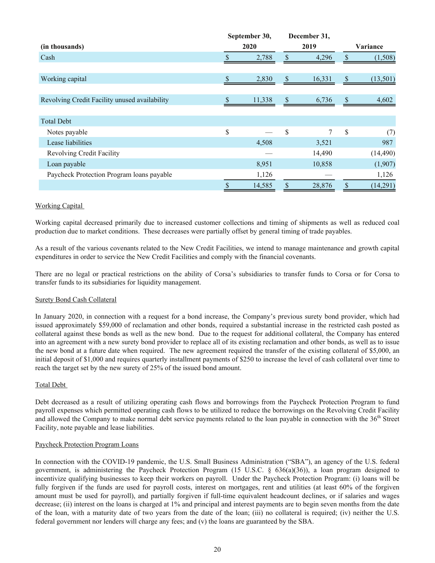|                                               | September 30, |                           | December 31, |                 |
|-----------------------------------------------|---------------|---------------------------|--------------|-----------------|
| (in thousands)                                | 2020          |                           | 2019         | Variance        |
| Cash                                          | 2,788         |                           | 4,296        | \$<br>(1,508)   |
|                                               |               |                           |              |                 |
| Working capital                               | \$<br>2,830   | $\boldsymbol{\mathsf{S}}$ | 16,331       | \$<br>(13, 501) |
|                                               |               |                           |              |                 |
| Revolving Credit Facility unused availability | 11,338        | \$                        | 6,736        | \$<br>4,602     |
|                                               |               |                           |              |                 |
| <b>Total Debt</b>                             |               |                           |              |                 |
| Notes payable                                 | \$            | \$                        | $\tau$       | \$<br>(7)       |
| Lease liabilities                             | 4,508         |                           | 3,521        | 987             |
| <b>Revolving Credit Facility</b>              |               |                           | 14,490       | (14, 490)       |
| Loan payable                                  | 8,951         |                           | 10,858       | (1,907)         |
| Paycheck Protection Program loans payable     | 1,126         |                           |              | 1,126           |
|                                               | \$<br>14,585  | \$                        | 28,876       | \$<br>(14,291)  |

## Working Capital

Working capital decreased primarily due to increased customer collections and timing of shipments as well as reduced coal production due to market conditions. These decreases were partially offset by general timing of trade payables.

As a result of the various covenants related to the New Credit Facilities, we intend to manage maintenance and growth capital expenditures in order to service the New Credit Facilities and comply with the financial covenants.

There are no legal or practical restrictions on the ability of Corsa's subsidiaries to transfer funds to Corsa or for Corsa to transfer funds to its subsidiaries for liquidity management.

## Surety Bond Cash Collateral

In January 2020, in connection with a request for a bond increase, the Company's previous surety bond provider, which had issued approximately \$59,000 of reclamation and other bonds, required a substantial increase in the restricted cash posted as collateral against these bonds as well as the new bond. Due to the request for additional collateral, the Company has entered into an agreement with a new surety bond provider to replace all of its existing reclamation and other bonds, as well as to issue the new bond at a future date when required. The new agreement required the transfer of the existing collateral of \$5,000, an initial deposit of \$1,000 and requires quarterly installment payments of \$250 to increase the level of cash collateral over time to reach the target set by the new surety of 25% of the issued bond amount.

## Total Debt

Debt decreased as a result of utilizing operating cash flows and borrowings from the Paycheck Protection Program to fund payroll expenses which permitted operating cash flows to be utilized to reduce the borrowings on the Revolving Credit Facility and allowed the Company to make normal debt service payments related to the loan payable in connection with the  $36<sup>th</sup>$  Street Facility, note payable and lease liabilities.

### Paycheck Protection Program Loans

In connection with the COVID-19 pandemic, the U.S. Small Business Administration ("SBA"), an agency of the U.S. federal government, is administering the Paycheck Protection Program (15 U.S.C. § 636(a)(36)), a loan program designed to incentivize qualifying businesses to keep their workers on payroll. Under the Paycheck Protection Program: (i) loans will be fully forgiven if the funds are used for payroll costs, interest on mortgages, rent and utilities (at least 60% of the forgiven amount must be used for payroll), and partially forgiven if full-time equivalent headcount declines, or if salaries and wages decrease; (ii) interest on the loans is charged at 1% and principal and interest payments are to begin seven months from the date of the loan, with a maturity date of two years from the date of the loan; (iii) no collateral is required; (iv) neither the U.S. federal government nor lenders will charge any fees; and (v) the loans are guaranteed by the SBA.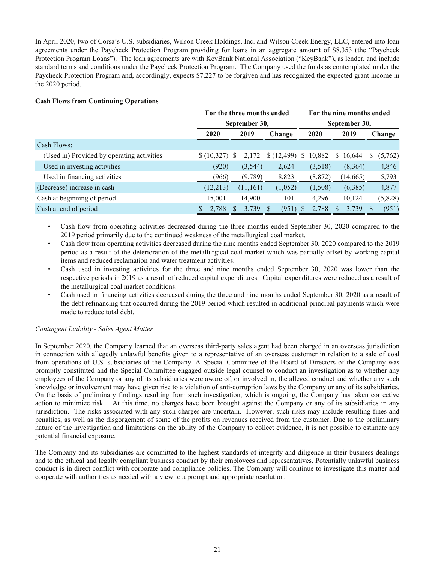In April 2020, two of Corsa's U.S. subsidiaries, Wilson Creek Holdings, Inc. and Wilson Creek Energy, LLC, entered into loan agreements under the Paycheck Protection Program providing for loans in an aggregate amount of \$8,353 (the "Paycheck Protection Program Loans"). The loan agreements are with KeyBank National Association ("KeyBank"), as lender, and include standard terms and conditions under the Paycheck Protection Program. The Company used the funds as contemplated under the Paycheck Protection Program and, accordingly, expects \$7,227 to be forgiven and has recognized the expected grant income in the 2020 period.

## **Cash Flows from Continuing Operations**

|                                            |            | For the three months ended |                        |             | For the nine months ended |         |  |  |
|--------------------------------------------|------------|----------------------------|------------------------|-------------|---------------------------|---------|--|--|
|                                            |            | September 30,              |                        |             | September 30,             |         |  |  |
|                                            | 2020       | 2019                       | 2020<br>2019<br>Change |             |                           | Change  |  |  |
| Cash Flows:                                |            |                            |                        |             |                           |         |  |  |
| (Used in) Provided by operating activities | \$(10,327) | 2,172<br><sup>S</sup>      | (12, 499)              | 10,882<br>S | 16,644<br>S.              | (5,762) |  |  |
| Used in investing activities               | (920)      | (3,544)                    | 2,624                  | (3,518)     | (8,364)                   | 4,846   |  |  |
| Used in financing activities               | (966)      | (9,789)                    | 8,823                  | (8, 872)    | (14, 665)                 | 5,793   |  |  |
| (Decrease) increase in cash                | (12, 213)  | (11,161)                   | (1,052)                | (1,508)     | (6,385)                   | 4,877   |  |  |
| Cash at beginning of period                | 15,001     | 14,900                     | 101                    | 4,296       | 10,124                    | (5,828) |  |  |
| Cash at end of period                      | 2,788      | 3.739                      | (951)                  | 2,788       | 3,739                     | (951)   |  |  |

- Cash flow from operating activities decreased during the three months ended September 30, 2020 compared to the 2019 period primarily due to the continued weakness of the metallurgical coal market.
- Cash flow from operating activities decreased during the nine months ended September 30, 2020 compared to the 2019 period as a result of the deterioration of the metallurgical coal market which was partially offset by working capital items and reduced reclamation and water treatment activities.
- Cash used in investing activities for the three and nine months ended September 30, 2020 was lower than the respective periods in 2019 as a result of reduced capital expenditures. Capital expenditures were reduced as a result of the metallurgical coal market conditions.
- Cash used in financing activities decreased during the three and nine months ended September 30, 2020 as a result of the debt refinancing that occurred during the 2019 period which resulted in additional principal payments which were made to reduce total debt.

## *Contingent Liability - Sales Agent Matter*

In September 2020, the Company learned that an overseas third-party sales agent had been charged in an overseas jurisdiction in connection with allegedly unlawful benefits given to a representative of an overseas customer in relation to a sale of coal from operations of U.S. subsidiaries of the Company. A Special Committee of the Board of Directors of the Company was promptly constituted and the Special Committee engaged outside legal counsel to conduct an investigation as to whether any employees of the Company or any of its subsidiaries were aware of, or involved in, the alleged conduct and whether any such knowledge or involvement may have given rise to a violation of anti-corruption laws by the Company or any of its subsidiaries. On the basis of preliminary findings resulting from such investigation, which is ongoing, the Company has taken corrective action to minimize risk. At this time, no charges have been brought against the Company or any of its subsidiaries in any jurisdiction. The risks associated with any such charges are uncertain. However, such risks may include resulting fines and penalties, as well as the disgorgement of some of the profits on revenues received from the customer. Due to the preliminary nature of the investigation and limitations on the ability of the Company to collect evidence, it is not possible to estimate any potential financial exposure.

The Company and its subsidiaries are committed to the highest standards of integrity and diligence in their business dealings and to the ethical and legally compliant business conduct by their employees and representatives. Potentially unlawful business conduct is in direct conflict with corporate and compliance policies. The Company will continue to investigate this matter and cooperate with authorities as needed with a view to a prompt and appropriate resolution.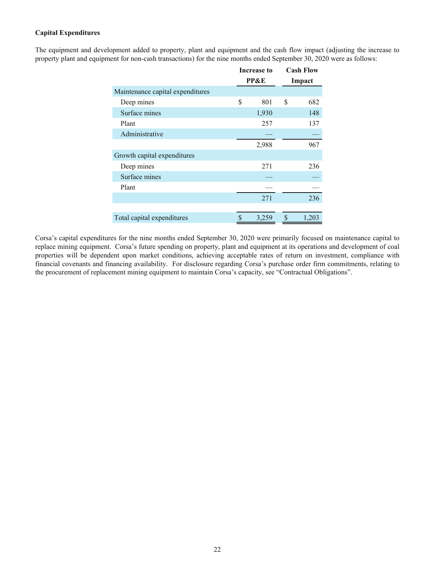## **Capital Expenditures**

The equipment and development added to property, plant and equipment and the cash flow impact (adjusting the increase to property plant and equipment for non-cash transactions) for the nine months ended September 30, 2020 were as follows:

|                                  | Increase to     | <b>Cash Flow</b> |
|----------------------------------|-----------------|------------------|
|                                  | <b>PP&amp;E</b> | Impact           |
| Maintenance capital expenditures |                 |                  |
| Deep mines                       | \$<br>801       | \$<br>682        |
| Surface mines                    | 1,930           | 148              |
| Plant                            | 257             | 137              |
| Administrative                   |                 |                  |
|                                  | 2,988           | 967              |
| Growth capital expenditures      |                 |                  |
| Deep mines                       | 271             | 236              |
| Surface mines                    |                 |                  |
| Plant                            |                 |                  |
|                                  | 271             | 236              |
|                                  |                 |                  |
| Total capital expenditures       | \$<br>3,259     | \$<br>1,203      |

Corsa's capital expenditures for the nine months ended September 30, 2020 were primarily focused on maintenance capital to replace mining equipment. Corsa's future spending on property, plant and equipment at its operations and development of coal properties will be dependent upon market conditions, achieving acceptable rates of return on investment, compliance with financial covenants and financing availability. For disclosure regarding Corsa's purchase order firm commitments, relating to the procurement of replacement mining equipment to maintain Corsa's capacity, see "Contractual Obligations".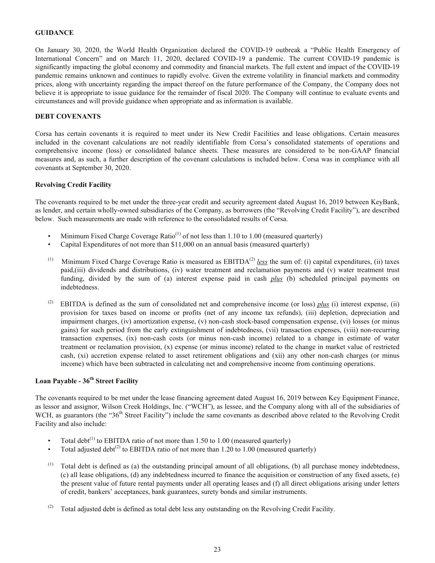## <span id="page-22-0"></span>**GUIDANCE**

On January 30, 2020, the World Health Organization declared the COVID-19 outbreak a "Public Health Emergency of International Concern" and on March 11, 2020, declared COVID-19 a pandemic. The current COVID-19 pandemic is significantly impacting the global economy and commodity and financial markets. The full extent and impact of the COVID-19 pandemic remains unknown and continues to rapidly evolve. Given the extreme volatility in financial markets and commodity prices, along with uncertainty regarding the impact thereof on the future performance of the Company, the Company does not believe it is appropriate to issue guidance for the remainder of fiscal 2020. The Company will continue to evaluate events and circumstances and will provide guidance when appropriate and as information is available.

### **DEBT COVENANTS**

Corsa has certain covenants it is required to meet under its New Credit Facilities and lease obligations. Certain measures included in the covenant calculations are not readily identifiable from Corsa's consolidated statements of operations and comprehensive income (loss) or consolidated balance sheets. These measures are considered to be non-GAAP financial measures and, as such, a further description of the covenant calculations is included below. Corsa was in compliance with all covenants at September 30, 2020.

### **Revolving Credit Facility**

The covenants required to be met under the three-year credit and security agreement dated August 16, 2019 between KeyBank, as lender, and certain wholly-owned subsidiaries of the Company, as borrowers (the "Revolving Credit Facility"), are described below. Such measurements are made with reference to the consolidated results of Corsa.

- Minimum Fixed Charge Coverage Ratio<sup>(1)</sup> of not less than 1.10 to 1.00 (measured quarterly)
- Capital Expenditures of not more than \$11,000 on an annual basis (measured quarterly)
- (1) Minimum Fixed Charge Coverage Ratio is measured as  $EBITDA<sup>(2)</sup>$  *less* the sum of: (i) capital expenditures, (ii) taxes paid,(iii) dividends and distributions, (iv) water treatment and reclamation payments and (v) water treatment trust funding, divided by the sum of (a) interest expense paid in cash *plus* (b) scheduled principal payments on indebtedness.
- (2) EBITDA is defined as the sum of consolidated net and comprehensive income (or loss)  $plus$  (i) interest expense, (ii) provision for taxes based on income or profits (net of any income tax refunds), (iii) depletion, depreciation and impairment charges, (iv) amortization expense, (v) non-cash stock-based compensation expense, (vi) losses (or minus gains) for such period from the early extinguishment of indebtedness, (vii) transaction expenses, (viii) non-recurring transaction expenses, (ix) non-cash costs (or minus non-cash income) related to a change in estimate of water treatment or reclamation provision, (x) expense (or minus income) related to the change in market value of restricted cash, (xi) accretion expense related to asset retirement obligations and (xii) any other non-cash charges (or minus income) which have been subtracted in calculating net and comprehensive income from continuing operations.

## **Loan Payable - 36th Street Facility**

The covenants required to be met under the lease financing agreement dated August 16, 2019 between Key Equipment Finance, as lessor and assignor, Wilson Creek Holdings, Inc. ("WCH"), as lessee, and the Company along with all of the subsidiaries of WCH, as guarantors (the " $36<sup>th</sup>$  Street Facility") include the same covenants as described above related to the Revolving Credit Facility and also include:

- Total debt<sup>(1)</sup> to EBITDA ratio of not more than 1.50 to 1.00 (measured quarterly)
- Total adjusted debt<sup>(2)</sup> to EBITDA ratio of not more than 1.20 to 1.00 (measured quarterly)
- $(1)$  Total debt is defined as (a) the outstanding principal amount of all obligations, (b) all purchase money indebtedness, (c) all lease obligations, (d) any indebtedness incurred to finance the acquisition or construction of any fixed assets, (e) the present value of future rental payments under all operating leases and (f) all direct obligations arising under letters of credit, bankers' acceptances, bank guarantees, surety bonds and similar instruments.
- (2) Total adjusted debt is defined as total debt less any outstanding on the Revolving Credit Facility.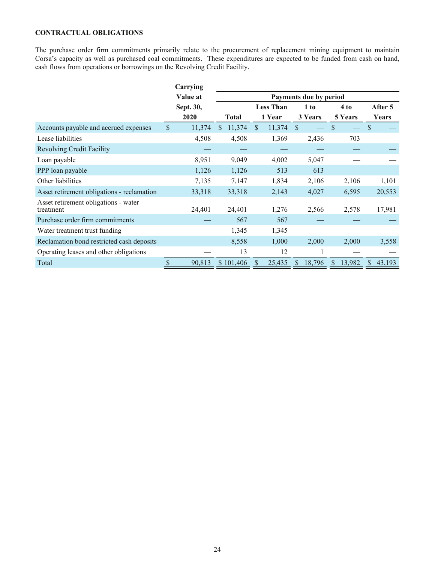## <span id="page-23-0"></span>**CONTRACTUAL OBLIGATIONS**

The purchase order firm commitments primarily relate to the procurement of replacement mining equipment to maintain Corsa's capacity as well as purchased coal commitments. These expenditures are expected to be funded from cash on hand, cash flows from operations or borrowings on the Revolving Credit Facility.

|                                                   |              | Carrying  |               |              |               |                  |               |                        |    |         |               |         |
|---------------------------------------------------|--------------|-----------|---------------|--------------|---------------|------------------|---------------|------------------------|----|---------|---------------|---------|
|                                                   |              | Value at  |               |              |               |                  |               | Payments due by period |    |         |               |         |
|                                                   |              | Sept. 30, |               |              |               | <b>Less Than</b> |               | 1 to                   |    | 4 to    |               | After 5 |
|                                                   |              | 2020      |               | <b>Total</b> |               | 1 Year           |               | 3 Years                |    | 5 Years |               | Years   |
| Accounts payable and accrued expenses             | $\mathbb{S}$ | 11,374    | <sup>\$</sup> | 11,374       | <sup>\$</sup> | 11,374           | <sup>\$</sup> |                        | \$ |         | <sup>\$</sup> |         |
| Lease liabilities                                 |              | 4,508     |               | 4,508        |               | 1,369            |               | 2,436                  |    | 703     |               |         |
| <b>Revolving Credit Facility</b>                  |              |           |               |              |               |                  |               |                        |    |         |               |         |
| Loan payable                                      |              | 8,951     |               | 9,049        |               | 4,002            |               | 5,047                  |    |         |               |         |
| PPP loan payable                                  |              | 1,126     |               | 1,126        | 513           |                  |               | 613                    |    |         |               |         |
| Other liabilities                                 |              | 7,135     |               | 7,147        |               | 1,834            |               | 2,106                  |    | 2,106   |               | 1,101   |
| Asset retirement obligations - reclamation        |              | 33,318    |               | 33,318       |               | 2,143            |               | 4,027                  |    | 6,595   |               | 20,553  |
| Asset retirement obligations - water<br>treatment |              | 24,401    |               | 24,401       |               | 1,276            |               | 2,566                  |    | 2,578   |               | 17,981  |
| Purchase order firm commitments                   |              |           |               | 567          |               | 567              |               |                        |    |         |               |         |
| Water treatment trust funding                     |              |           |               | 1,345        |               | 1,345            |               |                        |    |         |               |         |
| Reclamation bond restricted cash deposits         |              |           |               | 8,558        |               | 1,000            |               | 2,000                  |    | 2,000   |               | 3,558   |
| Operating leases and other obligations            |              |           |               | 13           |               | 12               |               |                        |    |         |               |         |
| Total                                             |              | 90,813    |               | \$101,406    |               | 25,435           | <sup>S</sup>  | 18,796                 | \$ | 13,982  | \$            | 43,193  |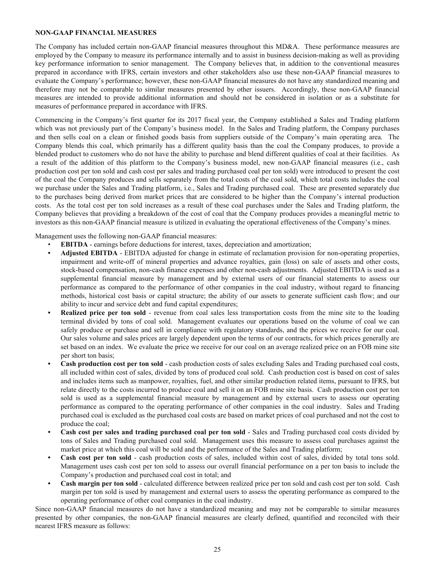## <span id="page-24-0"></span>**NON-GAAP FINANCIAL MEASURES**

The Company has included certain non-GAAP financial measures throughout this MD&A. These performance measures are employed by the Company to measure its performance internally and to assist in business decision-making as well as providing key performance information to senior management. The Company believes that, in addition to the conventional measures prepared in accordance with IFRS, certain investors and other stakeholders also use these non-GAAP financial measures to evaluate the Company's performance; however, these non-GAAP financial measures do not have any standardized meaning and therefore may not be comparable to similar measures presented by other issuers. Accordingly, these non-GAAP financial measures are intended to provide additional information and should not be considered in isolation or as a substitute for measures of performance prepared in accordance with IFRS.

Commencing in the Company's first quarter for its 2017 fiscal year, the Company established a Sales and Trading platform which was not previously part of the Company's business model. In the Sales and Trading platform, the Company purchases and then sells coal on a clean or finished goods basis from suppliers outside of the Company's main operating area. The Company blends this coal, which primarily has a different quality basis than the coal the Company produces, to provide a blended product to customers who do not have the ability to purchase and blend different qualities of coal at their facilities. As a result of the addition of this platform to the Company's business model, new non-GAAP financial measures (i.e., cash production cost per ton sold and cash cost per sales and trading purchased coal per ton sold) were introduced to present the cost of the coal the Company produces and sells separately from the total costs of the coal sold, which total costs includes the coal we purchase under the Sales and Trading platform, i.e., Sales and Trading purchased coal. These are presented separately due to the purchases being derived from market prices that are considered to be higher than the Company's internal production costs. As the total cost per ton sold increases as a result of these coal purchases under the Sales and Trading platform, the Company believes that providing a breakdown of the cost of coal that the Company produces provides a meaningful metric to investors as this non-GAAP financial measure is utilized in evaluating the operational effectiveness of the Company's mines.

Management uses the following non-GAAP financial measures:

- **EBITDA** earnings before deductions for interest, taxes, depreciation and amortization;
- **• Adjusted EBITDA** EBITDA adjusted for change in estimate of reclamation provision for non-operating properties, impairment and write-off of mineral properties and advance royalties, gain (loss) on sale of assets and other costs, stock-based compensation, non-cash finance expenses and other non-cash adjustments. Adjusted EBITDA is used as a supplemental financial measure by management and by external users of our financial statements to assess our performance as compared to the performance of other companies in the coal industry, without regard to financing methods, historical cost basis or capital structure; the ability of our assets to generate sufficient cash flow; and our ability to incur and service debt and fund capital expenditures;
- **Realized price per ton sold** revenue from coal sales less transportation costs from the mine site to the loading terminal divided by tons of coal sold. Management evaluates our operations based on the volume of coal we can safely produce or purchase and sell in compliance with regulatory standards, and the prices we receive for our coal. Our sales volume and sales prices are largely dependent upon the terms of our contracts, for which prices generally are set based on an index. We evaluate the price we receive for our coal on an average realized price on an FOB mine site per short ton basis;
- **• Cash production cost per ton sold** cash production costs of sales excluding Sales and Trading purchased coal costs, all included within cost of sales, divided by tons of produced coal sold. Cash production cost is based on cost of sales and includes items such as manpower, royalties, fuel, and other similar production related items, pursuant to IFRS, but relate directly to the costs incurred to produce coal and sell it on an FOB mine site basis. Cash production cost per ton sold is used as a supplemental financial measure by management and by external users to assess our operating performance as compared to the operating performance of other companies in the coal industry. Sales and Trading purchased coal is excluded as the purchased coal costs are based on market prices of coal purchased and not the cost to produce the coal;
- **• Cash cost per sales and trading purchased coal per ton sold** Sales and Trading purchased coal costs divided by tons of Sales and Trading purchased coal sold. Management uses this measure to assess coal purchases against the market price at which this coal will be sold and the performance of the Sales and Trading platform;
- **• Cash cost per ton sold** cash production costs of sales, included within cost of sales, divided by total tons sold. Management uses cash cost per ton sold to assess our overall financial performance on a per ton basis to include the Company's production and purchased coal cost in total; and
- **• Cash margin per ton sold** calculated difference between realized price per ton sold and cash cost per ton sold. Cash margin per ton sold is used by management and external users to assess the operating performance as compared to the operating performance of other coal companies in the coal industry.

Since non-GAAP financial measures do not have a standardized meaning and may not be comparable to similar measures presented by other companies, the non-GAAP financial measures are clearly defined, quantified and reconciled with their nearest IFRS measure as follows: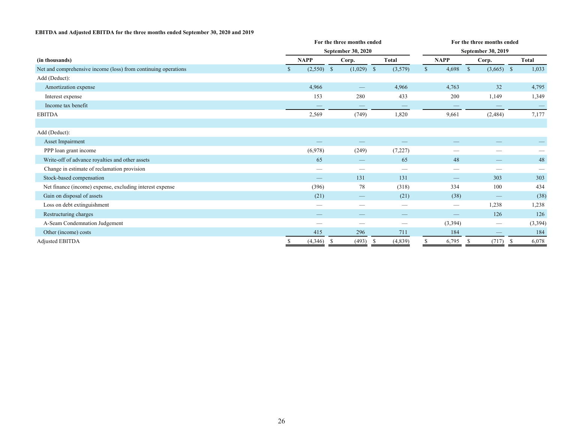### **EBITDA and Adjusted EBITDA for the three months ended September 30, 2020 and 2019**

|                                                                |                    | For the three months ended |                 | For the three months ended    |                               |               |  |  |  |  |  |
|----------------------------------------------------------------|--------------------|----------------------------|-----------------|-------------------------------|-------------------------------|---------------|--|--|--|--|--|
|                                                                |                    | September 30, 2020         |                 | September 30, 2019            |                               |               |  |  |  |  |  |
| (in thousands)                                                 | <b>NAPP</b>        | Corp.                      | <b>Total</b>    | <b>NAPP</b>                   | Corp.                         | <b>Total</b>  |  |  |  |  |  |
| Net and comprehensive income (loss) from continuing operations | $(2,550)$ \$<br>\$ | $(1,029)$ \$               | (3,579)         | 4,698<br>$\mathbb{S}$         | $\mathcal{S}$<br>$(3,665)$ \$ | 1,033         |  |  |  |  |  |
| Add (Deduct):                                                  |                    |                            |                 |                               |                               |               |  |  |  |  |  |
| Amortization expense                                           | 4,966              |                            | 4,966           | 4,763                         | 32                            | 4,795         |  |  |  |  |  |
| Interest expense                                               | 153                | 280                        | 433             | 200                           | 1,149                         | 1,349         |  |  |  |  |  |
| Income tax benefit                                             | –                  |                            |                 | $\overbrace{\phantom{12333}}$ |                               |               |  |  |  |  |  |
| <b>EBITDA</b>                                                  | 2,569              | (749)                      | 1,820           | 9,661                         | (2, 484)                      | 7,177         |  |  |  |  |  |
|                                                                |                    |                            |                 |                               |                               |               |  |  |  |  |  |
| Add (Deduct):                                                  |                    |                            |                 |                               |                               |               |  |  |  |  |  |
| Asset Impairment                                               |                    |                            |                 |                               |                               |               |  |  |  |  |  |
| PPP loan grant income                                          | (6,978)            | (249)                      | (7,227)         | --                            | –                             |               |  |  |  |  |  |
| Write-off of advance royalties and other assets                | 65                 |                            | 65              | 48                            | –                             | 48            |  |  |  |  |  |
| Change in estimate of reclamation provision                    | —                  | _                          | _               |                               | __                            |               |  |  |  |  |  |
| Stock-based compensation                                       |                    | 131                        | 131             |                               | 303                           | 303           |  |  |  |  |  |
| Net finance (income) expense, excluding interest expense       | (396)              | 78                         | (318)           | 334                           | 100                           | 434           |  |  |  |  |  |
| Gain on disposal of assets                                     | (21)               |                            | (21)            | (38)                          |                               | (38)          |  |  |  |  |  |
| Loss on debt extinguishment                                    | –                  |                            |                 | $\hspace{0.05cm}$             | 1,238                         | 1,238         |  |  |  |  |  |
| Restructuring charges                                          | –                  |                            |                 |                               | 126                           | 126           |  |  |  |  |  |
| A-Seam Condemnation Judgement                                  | –                  | --                         | --              | (3,394)                       |                               | (3, 394)      |  |  |  |  |  |
| Other (income) costs                                           | 415                | 296                        | 711             | 184                           |                               | 184           |  |  |  |  |  |
| <b>Adjusted EBITDA</b>                                         | (4,346)<br>S       | (493)<br>-S                | (4,839)<br>- \$ | 6,795                         | (717)<br>-S                   | 6,078<br>- \$ |  |  |  |  |  |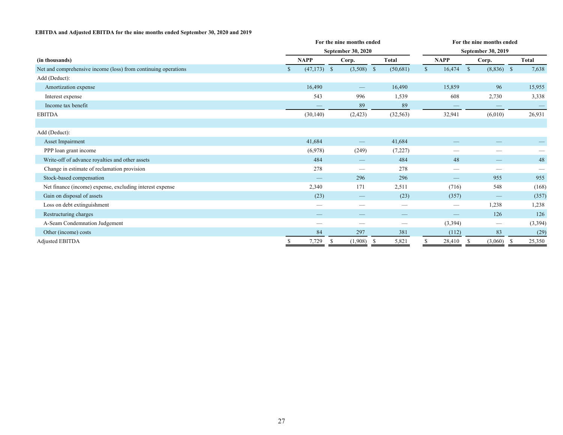#### **EBITDA and Adjusted EBITDA for the nine months ended September 30, 2020 and 2019**

|                                                                |   |               |               | For the nine months ended |  | For the nine months ended |                    |                   |              |              |  |              |  |
|----------------------------------------------------------------|---|---------------|---------------|---------------------------|--|---------------------------|--------------------|-------------------|--------------|--------------|--|--------------|--|
|                                                                |   |               |               | <b>September 30, 2020</b> |  |                           | September 30, 2019 |                   |              |              |  |              |  |
| (in thousands)                                                 |   | <b>NAPP</b>   |               | Corp.                     |  | <b>Total</b>              |                    | <b>NAPP</b>       |              | Corp.        |  | <b>Total</b> |  |
| Net and comprehensive income (loss) from continuing operations |   | $(47,173)$ \$ |               | $(3,508)$ \$              |  | (50, 681)                 | $\mathbf S$        | 16,474            | $\mathbb{S}$ | $(8,836)$ \$ |  | 7,638        |  |
| Add (Deduct):                                                  |   |               |               |                           |  |                           |                    |                   |              |              |  |              |  |
| Amortization expense                                           |   | 16,490        |               | $\overline{\phantom{m}}$  |  | 16,490                    |                    | 15,859            |              | 96           |  | 15,955       |  |
| Interest expense                                               |   | 543           |               | 996                       |  | 1,539                     |                    | 608               |              | 2,730        |  | 3,338        |  |
| Income tax benefit                                             |   |               |               | 89                        |  | 89                        |                    |                   |              |              |  |              |  |
| <b>EBITDA</b>                                                  |   | (30, 140)     |               | (2, 423)                  |  | (32, 563)                 |                    | 32,941            |              | (6,010)      |  | 26,931       |  |
|                                                                |   |               |               |                           |  |                           |                    |                   |              |              |  |              |  |
| Add (Deduct):                                                  |   |               |               |                           |  |                           |                    |                   |              |              |  |              |  |
| Asset Impairment                                               |   | 41,684        |               |                           |  | 41,684                    |                    |                   |              |              |  |              |  |
| PPP loan grant income                                          |   | (6,978)       |               | (249)                     |  | (7,227)                   |                    | --                |              | –            |  |              |  |
| Write-off of advance royalties and other assets                |   | 484           |               |                           |  | 484                       |                    | 48                |              |              |  | 48           |  |
| Change in estimate of reclamation provision                    |   | 278           |               |                           |  | 278                       |                    | --                |              |              |  |              |  |
| Stock-based compensation                                       |   |               |               | 296                       |  | 296                       |                    |                   |              | 955          |  | 955          |  |
| Net finance (income) expense, excluding interest expense       |   | 2,340         |               | 171                       |  | 2,511                     |                    | (716)             |              | 548          |  | (168)        |  |
| Gain on disposal of assets                                     |   | (23)          |               | –                         |  | (23)                      |                    | (357)             |              |              |  | (357)        |  |
| Loss on debt extinguishment                                    |   | --            |               | –                         |  |                           |                    | $\hspace{0.05cm}$ |              | 1,238        |  | 1,238        |  |
| Restructuring charges                                          |   | –             |               |                           |  |                           |                    |                   |              | 126          |  | 126          |  |
| A-Seam Condemnation Judgement                                  |   | --            |               |                           |  | --                        |                    | (3,394)           |              |              |  | (3, 394)     |  |
| Other (income) costs                                           |   | 84            |               | 297                       |  | 381                       |                    | (112)             |              | 83           |  | (29)         |  |
| <b>Adjusted EBITDA</b>                                         | S | 7,729         | <sup>\$</sup> | $(1,908)$ \$              |  | 5,821                     |                    | 28,410            | -S           | $(3,060)$ \$ |  | 25,350       |  |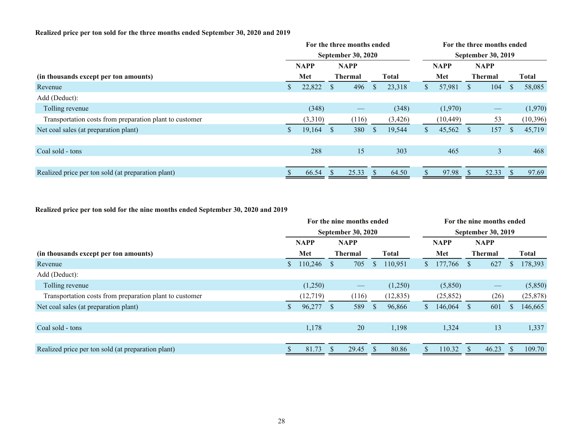## **Realized price per ton sold for the three months ended September 30, 2020 and 2019**

|    |                           |                |                   | For the three months ended |              |                            |                           |               |                   |               |              |  |
|----|---------------------------|----------------|-------------------|----------------------------|--------------|----------------------------|---------------------------|---------------|-------------------|---------------|--------------|--|
|    | <b>September 30, 2020</b> |                |                   |                            |              |                            | <b>September 30, 2019</b> |               |                   |               |              |  |
|    | <b>NAPP</b>               |                |                   |                            |              |                            |                           | <b>NAPP</b>   |                   |               |              |  |
|    | Met                       | <b>Thermal</b> |                   |                            | <b>Total</b> |                            | Met                       |               | <b>Thermal</b>    |               | <b>Total</b> |  |
|    | 22,822                    | <sup>S</sup>   | 496               | <sup>\$</sup>              | 23,318       | S.                         | 57,981                    | <sup>S</sup>  | 104               |               | 58,085       |  |
|    |                           |                |                   |                            |              |                            |                           |               |                   |               |              |  |
|    | (348)                     |                | $\hspace{0.05cm}$ |                            | (348)        |                            | (1,970)                   |               | $\hspace{0.05cm}$ |               | (1,970)      |  |
|    | (3,310)                   |                | (116)             |                            | (3,426)      |                            | (10, 449)                 |               | 53                |               | (10, 396)    |  |
| S. | 19,164                    | <sup>S</sup>   | 380               | <sup>\$</sup>              | 19,544       | S.                         | 45,562                    | <sup>S</sup>  | 157               | <sup>\$</sup> | 45,719       |  |
|    |                           |                |                   |                            |              |                            |                           |               |                   |               |              |  |
|    | 288                       |                | 15                |                            | 303          |                            | 465                       |               | $\overline{3}$    |               | 468          |  |
|    |                           |                |                   |                            |              |                            |                           |               |                   |               |              |  |
|    | 66.54                     |                | 25.33             |                            | 64.50        |                            | 97.98                     | $\mathcal{P}$ | 52.33             |               | 97.69        |  |
|    |                           |                |                   | <b>NAPP</b>                |              | For the three months ended |                           | <b>NAPP</b>   |                   |               |              |  |

## **Realized price per ton sold for the nine months ended September 30, 2020 and 2019**

|                                                         | For the nine months ended |             |              |                   |              |              |                | For the nine months ended |                |                   |    |              |  |  |  |
|---------------------------------------------------------|---------------------------|-------------|--------------|-------------------|--------------|--------------|----------------|---------------------------|----------------|-------------------|----|--------------|--|--|--|
|                                                         | <b>September 30, 2020</b> |             |              |                   |              |              |                | <b>September 30, 2019</b> |                |                   |    |              |  |  |  |
|                                                         |                           | <b>NAPP</b> |              | <b>NAPP</b>       |              |              |                | <b>NAPP</b>               |                | <b>NAPP</b>       |    |              |  |  |  |
| (in thousands except per ton amounts)                   |                           | Met         |              | <b>Thermal</b>    |              | <b>Total</b> |                | Met                       | <b>Thermal</b> |                   |    | <b>Total</b> |  |  |  |
| Revenue                                                 |                           | 110,246     | <sup>S</sup> | 705               | <sup>S</sup> | 110,951      | $\mathbb{S}^-$ | 177,766                   | <sup>S</sup>   | 627               |    | 178,393      |  |  |  |
| Add (Deduct):                                           |                           |             |              |                   |              |              |                |                           |                |                   |    |              |  |  |  |
| Tolling revenue                                         |                           | (1,250)     |              | $\hspace{0.05cm}$ |              | (1,250)      |                | (5,850)                   |                | $\hspace{0.05cm}$ |    | (5,850)      |  |  |  |
| Transportation costs from preparation plant to customer |                           | (12, 719)   |              | (116)             |              | (12, 835)    |                | (25, 852)                 |                | (26)              |    | (25, 878)    |  |  |  |
| Net coal sales (at preparation plant)                   |                           | 96,277      | <sup>S</sup> | 589               | <sup>S</sup> | 96,866       | S.             | 146,064                   | <sup>\$</sup>  | 601               |    | 146,665      |  |  |  |
|                                                         |                           |             |              |                   |              |              |                |                           |                |                   |    |              |  |  |  |
| Coal sold - tons                                        |                           | 1,178       |              | 20                |              | 1,198        |                | 1,324                     |                | 13                |    | 1,337        |  |  |  |
|                                                         |                           |             |              |                   |              |              |                |                           |                |                   |    |              |  |  |  |
| Realized price per ton sold (at preparation plant)      |                           | 81.73       | \$           | 29.45             |              | 80.86        |                | 110.32                    | ЭĐ.            | 46.23             | -S | 109.70       |  |  |  |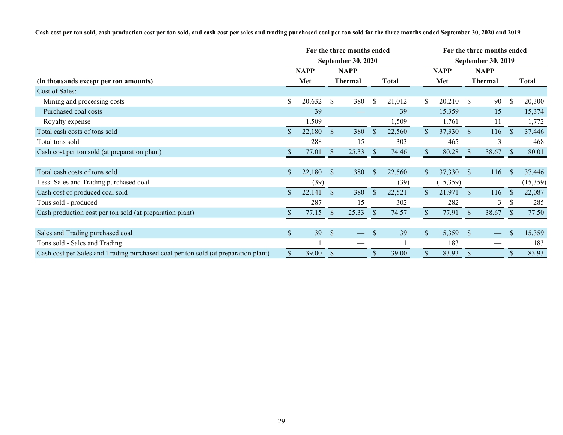**Cash cost per ton sold, cash production cost per ton sold, and cash cost per sales and trading purchased coal per ton sold for the three months ended September 30, 2020 and 2019**

|                                                                                    |               | For the three months ended | <b>September 30, 2020</b> |                   | For the three months ended<br><b>September 30, 2019</b> |        |                |             |               |                   |               |              |
|------------------------------------------------------------------------------------|---------------|----------------------------|---------------------------|-------------------|---------------------------------------------------------|--------|----------------|-------------|---------------|-------------------|---------------|--------------|
|                                                                                    |               | <b>NAPP</b>                |                           | <b>NAPP</b>       |                                                         |        |                | <b>NAPP</b> |               | <b>NAPP</b>       |               |              |
| (in thousands except per ton amounts)                                              |               | Met                        | <b>Thermal</b>            |                   | <b>Total</b>                                            |        |                | Met         |               | <b>Thermal</b>    |               | <b>Total</b> |
| Cost of Sales:                                                                     |               |                            |                           |                   |                                                         |        |                |             |               |                   |               |              |
| Mining and processing costs                                                        | \$            | 20,632                     | <sup>\$</sup>             | 380               | $\mathbb{S}$                                            | 21,012 | \$             | 20,210      | <sup>S</sup>  | 90                | $\mathbb{S}$  | 20,300       |
| Purchased coal costs                                                               |               | 39                         |                           |                   |                                                         | 39     |                | 15,359      |               | 15                |               | 15,374       |
| Royalty expense                                                                    |               | 1,509                      |                           |                   |                                                         | 1,509  |                | 1,761       |               | 11                |               | 1,772        |
| Total cash costs of tons sold                                                      | $\mathcal{S}$ | 22,180                     | $\mathcal{S}$             | 380               | <sup>S</sup>                                            | 22,560 | $\mathbb{S}$   | 37,330      | $\mathcal{S}$ | 116               | <sup>S</sup>  | 37,446       |
| Total tons sold                                                                    |               | 288                        |                           | 15                |                                                         | 303    |                | 465         |               | 3                 |               | 468          |
| Cash cost per ton sold (at preparation plant)                                      |               | 77.01                      | <sup>S</sup>              | 25.33             | <sup>S</sup>                                            | 74.46  |                | 80.28       | -S            | 38.67             |               | 80.01        |
|                                                                                    |               |                            |                           |                   |                                                         |        |                |             |               |                   |               |              |
| Total cash costs of tons sold                                                      | $\mathbb{S}$  | 22,180                     | <sup>S</sup>              | 380               | <sup>S</sup>                                            | 22,560 | S.             | 37,330      | <sup>S</sup>  | 116               | <sup>\$</sup> | 37,446       |
| Less: Sales and Trading purchased coal                                             |               | (39)                       |                           |                   |                                                         | (39)   |                | (15,359)    |               |                   |               | (15, 359)    |
| Cash cost of produced coal sold                                                    |               | 22,141                     | <sup>S</sup>              | 380               | $\mathbb{S}$                                            | 22,521 | $\mathbb{S}^-$ | 21,971      | <sup>S</sup>  | 116               | <sup>S</sup>  | 22,087       |
| Tons sold - produced                                                               |               | 287                        |                           | 15                |                                                         | 302    |                | 282         |               | 3                 |               | 285          |
| Cash production cost per ton sold (at preparation plant)                           |               | 77.15                      | $\mathcal{S}$             | 25.33             | <sup>S</sup>                                            | 74.57  |                | 77.91       | <sup>S</sup>  | 38.67             |               | 77.50        |
|                                                                                    |               |                            |                           |                   |                                                         |        |                |             |               |                   |               |              |
| Sales and Trading purchased coal                                                   | $\mathbb{S}$  | 39                         | $\mathcal{S}$             |                   | <sup>\$</sup>                                           | 39     | $\mathbb{S}$   | 15,359      | <sup>S</sup>  |                   | \$            | 15,359       |
| Tons sold - Sales and Trading                                                      |               |                            |                           |                   |                                                         |        |                | 183         |               |                   |               | 183          |
| Cash cost per Sales and Trading purchased coal per ton sold (at preparation plant) | $\mathbb S$   | 39.00                      | $\mathcal{S}$             | $\hspace{0.05cm}$ | S                                                       | 39.00  | \$             | 83.93       | <sup>S</sup>  | $\hspace{0.05cm}$ |               | 83.93        |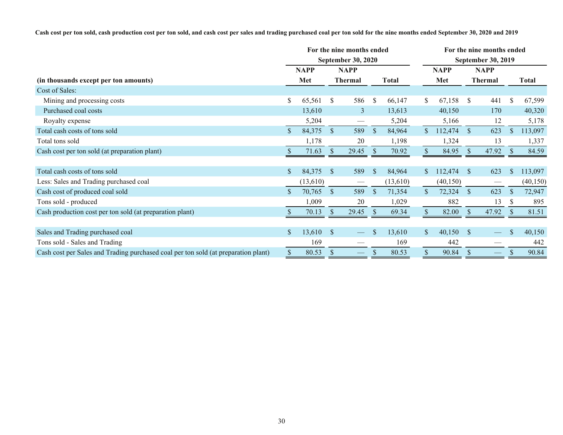**Cash cost per ton sold, cash production cost per ton sold, and cash cost per sales and trading purchased coal per ton sold for the nine months ended September 30, 2020 and 2019**

|                                                                                    |             |          |                           | For the nine months ended<br><b>September 30, 2020</b> |               |          |                | For the nine months ended |                                          |                  |               |           |
|------------------------------------------------------------------------------------|-------------|----------|---------------------------|--------------------------------------------------------|---------------|----------|----------------|---------------------------|------------------------------------------|------------------|---------------|-----------|
|                                                                                    | <b>NAPP</b> |          | <b>NAPP</b>               |                                                        |               |          | <b>NAPP</b>    |                           | <b>September 30, 2019</b><br><b>NAPP</b> |                  |               |           |
| (in thousands except per ton amounts)                                              |             | Met      | <b>Thermal</b>            |                                                        | Total         |          |                | Met                       | <b>Thermal</b>                           |                  |               | Total     |
| Cost of Sales:                                                                     |             |          |                           |                                                        |               |          |                |                           |                                          |                  |               |           |
| Mining and processing costs                                                        | S.          | 65,561   | <sup>\$</sup>             | 586                                                    | $\mathcal{S}$ | 66,147   | S.             | 67,158                    | <sup>S</sup>                             | 441              | <sup>\$</sup> | 67,599    |
| Purchased coal costs                                                               |             | 13,610   |                           | $\overline{3}$                                         |               | 13,613   |                | 40,150                    |                                          | 170              |               | 40,320    |
| Royalty expense                                                                    |             | 5,204    |                           |                                                        |               | 5,204    |                | 5,166                     |                                          | 12               |               | 5,178     |
| Total cash costs of tons sold                                                      | \$          | 84,375   | <sup>S</sup>              | 589                                                    | <sup>S</sup>  | 84,964   | $\mathbb{S}^-$ | 112,474                   | <sup>S</sup>                             | 623              | <sup>S</sup>  | 113,097   |
| Total tons sold                                                                    |             | 1,178    |                           | 20                                                     |               | 1,198    |                | 1,324                     |                                          | 13               |               | 1,337     |
| Cash cost per ton sold (at preparation plant)                                      |             | 71.63    | <sup>\$</sup>             | 29.45                                                  |               | 70.92    |                | 84.95                     | <sup>S</sup>                             | 47.92            |               | 84.59     |
|                                                                                    |             |          |                           |                                                        |               |          |                |                           |                                          |                  |               |           |
| Total cash costs of tons sold                                                      |             | 84,375   | <sup>S</sup>              | 589                                                    | <sup>\$</sup> | 84,964   | S.             | 112,474                   | <sup>S</sup>                             | 623              | <sup>\$</sup> | 113,097   |
| Less: Sales and Trading purchased coal                                             |             | (13,610) |                           |                                                        |               | (13,610) |                | (40, 150)                 |                                          |                  |               | (40, 150) |
| Cash cost of produced coal sold                                                    |             | 70,765   | <sup>S</sup>              | 589                                                    | <sup>S</sup>  | 71,354   | $\mathbb{S}$   | 72,324                    | <sup>S</sup>                             | 623              |               | 72,947    |
| Tons sold - produced                                                               |             | 1,009    |                           | 20                                                     |               | 1,029    |                | 882                       |                                          | 13               | <b>S</b>      | 895       |
| Cash production cost per ton sold (at preparation plant)                           |             | 70.13    | $\boldsymbol{\mathsf{S}}$ | 29.45                                                  | -S            | 69.34    |                | 82.00                     | $\mathcal{S}$                            | 47.92            |               | 81.51     |
|                                                                                    |             |          |                           |                                                        |               |          |                |                           |                                          |                  |               |           |
| Sales and Trading purchased coal                                                   | \$          | 13,610   | <sup>S</sup>              |                                                        | \$.           | 13,610   | $\mathbb{S}$   | 40,150                    | <sup>S</sup>                             |                  | $\mathbb{S}$  | 40,150    |
| Tons sold - Sales and Trading                                                      |             | 169      |                           |                                                        |               | 169      |                | 442                       |                                          |                  |               | 442       |
| Cash cost per Sales and Trading purchased coal per ton sold (at preparation plant) | \$          | 80.53    | <sup>\$</sup>             | $\overbrace{\hspace{27mm}}$                            | \$            | 80.53    | \$             | 90.84                     | <sup>S</sup>                             | $\hspace{0.1cm}$ |               | 90.84     |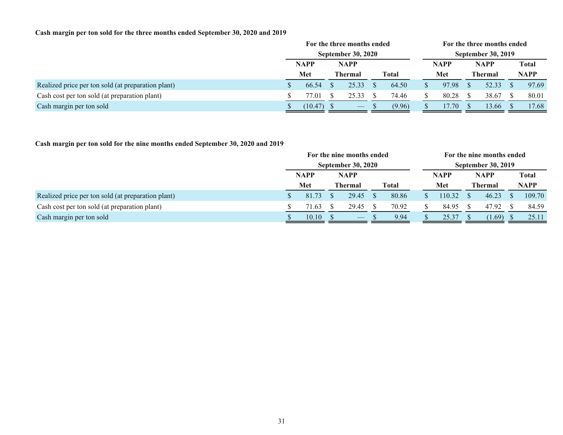## **Cash margin per ton sold for the three months ended September 30, 2020 and 2019**

|                                                    | For the three months ended |                           |  |                          |  | For the three months ended |                           |       |             |                |       |             |
|----------------------------------------------------|----------------------------|---------------------------|--|--------------------------|--|----------------------------|---------------------------|-------|-------------|----------------|-------|-------------|
|                                                    |                            | <b>September 30, 2020</b> |  |                          |  |                            | <b>September 30, 2019</b> |       |             |                |       |             |
|                                                    |                            | <b>NAPP</b><br>Met        |  | NAPP                     |  |                            |                           | NAPP  | <b>NAPP</b> |                | Total |             |
|                                                    |                            |                           |  | Thermal                  |  | <b>Total</b>               |                           | Met   |             | <b>Thermal</b> |       | <b>NAPP</b> |
| Realized price per ton sold (at preparation plant) |                            | 66.54                     |  | 25.33                    |  | 64.50                      |                           | 97.98 |             | 52.33          |       | 97.69       |
| Cash cost per ton sold (at preparation plant)      |                            | 77.01                     |  | 25.33                    |  | 74.46                      |                           | 80.28 |             | 38.67          |       | 80.01       |
| Cash margin per ton sold                           |                            | (10.47)                   |  | $\overline{\phantom{a}}$ |  | (9.96)                     |                           | 17.70 |             | 13.66          |       | 17.68       |

## **Cash margin per ton sold for the nine months ended September 30, 2020 and 2019**

|                                                    | For the nine months ended<br><b>September 30, 2020</b> |                    |  |                                |  |                           | For the nine months ended |        |             |                |              |             |
|----------------------------------------------------|--------------------------------------------------------|--------------------|--|--------------------------------|--|---------------------------|---------------------------|--------|-------------|----------------|--------------|-------------|
|                                                    |                                                        |                    |  |                                |  | <b>September 30, 2019</b> |                           |        |             |                |              |             |
|                                                    |                                                        | <b>NAPP</b><br>Met |  | <b>NAPP</b>                    |  |                           | <b>NAPP</b>               |        | <b>NAPP</b> |                | <b>Total</b> |             |
|                                                    |                                                        |                    |  | <b>Thermal</b>                 |  | <b>Total</b>              |                           | Met    |             | <b>Thermal</b> |              | <b>NAPP</b> |
| Realized price per ton sold (at preparation plant) |                                                        | 81.73              |  | 29.45                          |  | 80.86                     |                           | 110.32 |             | 46.23          |              | 109.70      |
| Cash cost per ton sold (at preparation plant)      |                                                        | 71.63              |  | 29.45                          |  | 70.92                     |                           | 84.95  |             | 47.92          |              | 84.59       |
| Cash margin per ton sold                           |                                                        | 10.10              |  | $\overbrace{\hspace{25mm}}^{}$ |  | 9.94                      |                           | 25.37  |             | (1.69)         |              | 25.11       |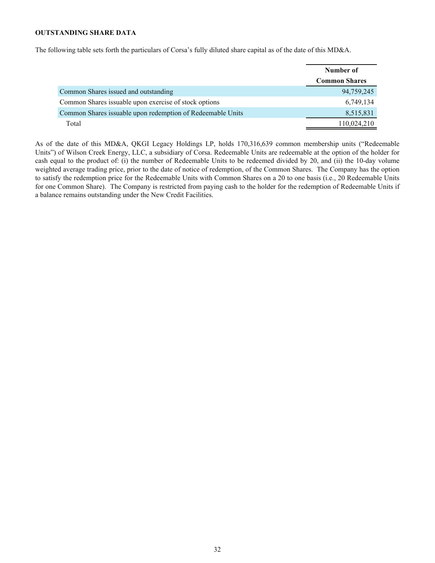## <span id="page-31-0"></span>**OUTSTANDING SHARE DATA**

The following table sets forth the particulars of Corsa's fully diluted share capital as of the date of this MD&A.

|                                                            | Number of            |
|------------------------------------------------------------|----------------------|
|                                                            | <b>Common Shares</b> |
| Common Shares issued and outstanding                       | 94,759,245           |
| Common Shares issuable upon exercise of stock options      | 6,749,134            |
| Common Shares issuable upon redemption of Redeemable Units | 8,515,831            |
| Total                                                      | 110,024,210          |

As of the date of this MD&A, QKGI Legacy Holdings LP, holds 170,316,639 common membership units ("Redeemable Units") of Wilson Creek Energy, LLC, a subsidiary of Corsa. Redeemable Units are redeemable at the option of the holder for cash equal to the product of: (i) the number of Redeemable Units to be redeemed divided by 20, and (ii) the 10-day volume weighted average trading price, prior to the date of notice of redemption, of the Common Shares. The Company has the option to satisfy the redemption price for the Redeemable Units with Common Shares on a 20 to one basis (i.e., 20 Redeemable Units for one Common Share). The Company is restricted from paying cash to the holder for the redemption of Redeemable Units if a balance remains outstanding under the New Credit Facilities.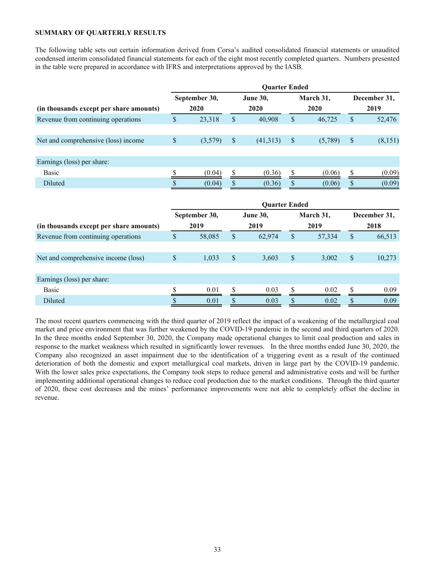## <span id="page-32-0"></span>**SUMMARY OF QUARTERLY RESULTS**

The following table sets out certain information derived from Corsa's audited consolidated financial statements or unaudited condensed interim consolidated financial statements for each of the eight most recently completed quarters. Numbers presented in the table were prepared in accordance with IFRS and interpretations approved by the IASB.

|                                         | <b>Quarter Ended</b> |               |                           |                      |               |           |               |              |  |  |  |
|-----------------------------------------|----------------------|---------------|---------------------------|----------------------|---------------|-----------|---------------|--------------|--|--|--|
|                                         |                      | September 30, |                           | <b>June 30,</b>      |               | March 31, |               | December 31, |  |  |  |
| (in thousands except per share amounts) |                      | 2020          |                           | 2020                 |               | 2020      | 2019          |              |  |  |  |
| Revenue from continuing operations      | \$                   | 23,318        | $\mathsf{\$}$             | 40,908               | $\mathsf{\$}$ | 46,725    | $\mathsf{\$}$ | 52,476       |  |  |  |
| Net and comprehensive (loss) income     | $\mathsf{\$}$        | (3,579)       | $\boldsymbol{\mathsf{S}}$ | (41,313)             | \$            | (5,789)   | \$            | (8,151)      |  |  |  |
| Earnings (loss) per share:              |                      |               |                           |                      |               |           |               |              |  |  |  |
| <b>Basic</b>                            | \$                   | (0.04)        | \$                        | (0.36)               | \$            | (0.06)    | $\mathbb{S}$  | (0.09)       |  |  |  |
| Diluted                                 |                      | (0.04)        | \$                        | (0.36)               |               | (0.06)    |               | (0.09)       |  |  |  |
|                                         |                      |               |                           | <b>Quarter Ended</b> |               |           |               |              |  |  |  |
|                                         |                      | September 30, |                           | <b>June 30,</b>      |               | March 31, | December 31,  |              |  |  |  |
| (in thousands except per share amounts) |                      | 2019          |                           | 2019                 |               | 2019      | 2018          |              |  |  |  |
| Revenue from continuing operations      | \$                   | 58,085        | \$                        | 62,974               | $\mathsf{\$}$ | 57,334    | $\mathsf{\$}$ | 66,513       |  |  |  |
|                                         |                      |               |                           |                      |               |           |               |              |  |  |  |
| Net and comprehensive income (loss)     | $\mathbb{S}$         | 1,033         | $\boldsymbol{\mathsf{S}}$ | 3,603                | $\mathcal{S}$ | 3,002     | \$            | 10,273       |  |  |  |
|                                         |                      |               |                           |                      |               |           |               |              |  |  |  |
| Earnings (loss) per share:              |                      |               |                           |                      |               |           |               |              |  |  |  |
| <b>Basic</b>                            | \$                   | 0.01          | \$                        | 0.03                 | S             | 0.02      | \$            | 0.09         |  |  |  |
| Diluted                                 | \$                   | 0.01          | \$                        | 0.03                 | \$            | 0.02      | \$            | 0.09         |  |  |  |

The most recent quarters commencing with the third quarter of 2019 reflect the impact of a weakening of the metallurgical coal market and price environment that was further weakened by the COVID-19 pandemic in the second and third quarters of 2020. In the three months ended September 30, 2020, the Company made operational changes to limit coal production and sales in response to the market weakness which resulted in significantly lower revenues. In the three months ended June 30, 2020, the Company also recognized an asset impairment due to the identification of a triggering event as a result of the continued deterioration of both the domestic and export metallurgical coal markets, driven in large part by the COVID-19 pandemic. With the lower sales price expectations, the Company took steps to reduce general and administrative costs and will be further implementing additional operational changes to reduce coal production due to the market conditions. Through the third quarter of 2020, these cost decreases and the mines' performance improvements were not able to completely offset the decline in revenue.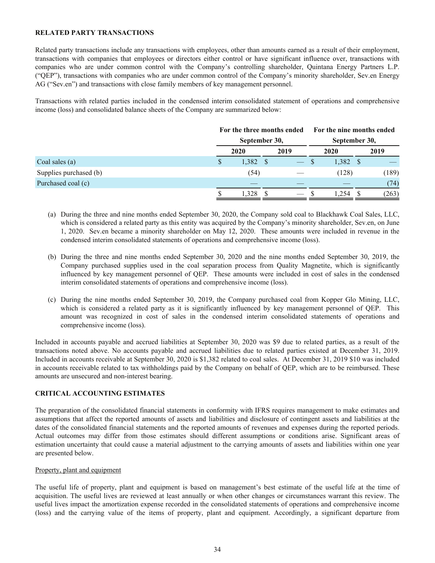## <span id="page-33-0"></span>**RELATED PARTY TRANSACTIONS**

Related party transactions include any transactions with employees, other than amounts earned as a result of their employment, transactions with companies that employees or directors either control or have significant influence over, transactions with companies who are under common control with the Company's controlling shareholder, Quintana Energy Partners L.P. ("QEP"), transactions with companies who are under common control of the Company's minority shareholder, Sev.en Energy AG ("Sev.en") and transactions with close family members of key management personnel.

Transactions with related parties included in the condensed interim consolidated statement of operations and comprehensive income (loss) and consolidated balance sheets of the Company are summarized below:

|                        | For the three months ended |  |               |  | For the nine months ended |  |       |  |  |
|------------------------|----------------------------|--|---------------|--|---------------------------|--|-------|--|--|
|                        | September 30,              |  | September 30, |  |                           |  |       |  |  |
|                        | 2020                       |  | 2019          |  | 2020                      |  | 2019  |  |  |
| Coal sales (a)         | $1,382$ \$                 |  |               |  | $1,382$ \$                |  |       |  |  |
| Supplies purchased (b) | (54)                       |  |               |  | (128)                     |  | (189) |  |  |
| Purchased coal (c)     |                            |  |               |  |                           |  | (74)  |  |  |
|                        |                            |  |               |  |                           |  | (263) |  |  |

- (a) During the three and nine months ended September 30, 2020, the Company sold coal to Blackhawk Coal Sales, LLC, which is considered a related party as this entity was acquired by the Company's minority shareholder, Sev.en, on June 1, 2020. Sev.en became a minority shareholder on May 12, 2020. These amounts were included in revenue in the condensed interim consolidated statements of operations and comprehensive income (loss).
- (b) During the three and nine months ended September 30, 2020 and the nine months ended September 30, 2019, the Company purchased supplies used in the coal separation process from Quality Magnetite, which is significantly influenced by key management personnel of QEP. These amounts were included in cost of sales in the condensed interim consolidated statements of operations and comprehensive income (loss).
- (c) During the nine months ended September 30, 2019, the Company purchased coal from Kopper Glo Mining, LLC, which is considered a related party as it is significantly influenced by key management personnel of QEP. This amount was recognized in cost of sales in the condensed interim consolidated statements of operations and comprehensive income (loss).

Included in accounts payable and accrued liabilities at September 30, 2020 was \$9 due to related parties, as a result of the transactions noted above. No accounts payable and accrued liabilities due to related parties existed at December 31, 2019. Included in accounts receivable at September 30, 2020 is \$1,382 related to coal sales. At December 31, 2019 \$10 was included in accounts receivable related to tax withholdings paid by the Company on behalf of QEP, which are to be reimbursed. These amounts are unsecured and non-interest bearing.

## **CRITICAL ACCOUNTING ESTIMATES**

The preparation of the consolidated financial statements in conformity with IFRS requires management to make estimates and assumptions that affect the reported amounts of assets and liabilities and disclosure of contingent assets and liabilities at the dates of the consolidated financial statements and the reported amounts of revenues and expenses during the reported periods. Actual outcomes may differ from those estimates should different assumptions or conditions arise. Significant areas of estimation uncertainty that could cause a material adjustment to the carrying amounts of assets and liabilities within one year are presented below.

### Property, plant and equipment

The useful life of property, plant and equipment is based on management's best estimate of the useful life at the time of acquisition. The useful lives are reviewed at least annually or when other changes or circumstances warrant this review. The useful lives impact the amortization expense recorded in the consolidated statements of operations and comprehensive income (loss) and the carrying value of the items of property, plant and equipment. Accordingly, a significant departure from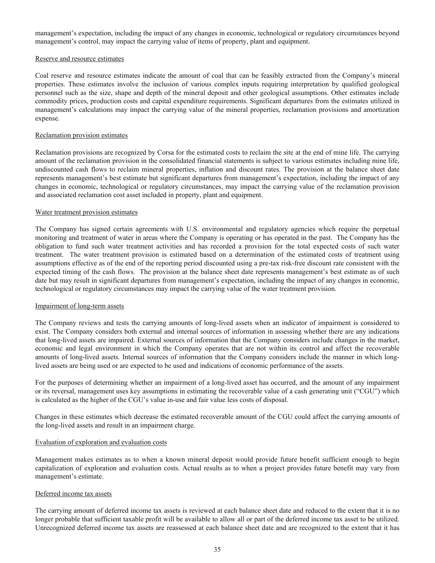management's expectation, including the impact of any changes in economic, technological or regulatory circumstances beyond management's control, may impact the carrying value of items of property, plant and equipment.

### Reserve and resource estimates

Coal reserve and resource estimates indicate the amount of coal that can be feasibly extracted from the Company's mineral properties. These estimates involve the inclusion of various complex inputs requiring interpretation by qualified geological personnel such as the size, shape and depth of the mineral deposit and other geological assumptions. Other estimates include commodity prices, production costs and capital expenditure requirements. Significant departures from the estimates utilized in management's calculations may impact the carrying value of the mineral properties, reclamation provisions and amortization expense.

### Reclamation provision estimates

Reclamation provisions are recognized by Corsa for the estimated costs to reclaim the site at the end of mine life. The carrying amount of the reclamation provision in the consolidated financial statements is subject to various estimates including mine life, undiscounted cash flows to reclaim mineral properties, inflation and discount rates. The provision at the balance sheet date represents management's best estimate but significant departures from management's expectation, including the impact of any changes in economic, technological or regulatory circumstances, may impact the carrying value of the reclamation provision and associated reclamation cost asset included in property, plant and equipment.

### Water treatment provision estimates

The Company has signed certain agreements with U.S. environmental and regulatory agencies which require the perpetual monitoring and treatment of water in areas where the Company is operating or has operated in the past. The Company has the obligation to fund such water treatment activities and has recorded a provision for the total expected costs of such water treatment. The water treatment provision is estimated based on a determination of the estimated costs of treatment using assumptions effective as of the end of the reporting period discounted using a pre-tax risk-free discount rate consistent with the expected timing of the cash flows. The provision at the balance sheet date represents management's best estimate as of such date but may result in significant departures from management's expectation, including the impact of any changes in economic, technological or regulatory circumstances may impact the carrying value of the water treatment provision.

### Impairment of long-term assets

The Company reviews and tests the carrying amounts of long-lived assets when an indicator of impairment is considered to exist. The Company considers both external and internal sources of information in assessing whether there are any indications that long-lived assets are impaired. External sources of information that the Company considers include changes in the market, economic and legal environment in which the Company operates that are not within its control and affect the recoverable amounts of long-lived assets. Internal sources of information that the Company considers include the manner in which longlived assets are being used or are expected to be used and indications of economic performance of the assets.

For the purposes of determining whether an impairment of a long-lived asset has occurred, and the amount of any impairment or its reversal, management uses key assumptions in estimating the recoverable value of a cash generating unit ("CGU") which is calculated as the higher of the CGU's value in-use and fair value less costs of disposal.

Changes in these estimates which decrease the estimated recoverable amount of the CGU could affect the carrying amounts of the long-lived assets and result in an impairment charge.

### Evaluation of exploration and evaluation costs

Management makes estimates as to when a known mineral deposit would provide future benefit sufficient enough to begin capitalization of exploration and evaluation costs. Actual results as to when a project provides future benefit may vary from management's estimate.

### Deferred income tax assets

The carrying amount of deferred income tax assets is reviewed at each balance sheet date and reduced to the extent that it is no longer probable that sufficient taxable profit will be available to allow all or part of the deferred income tax asset to be utilized. Unrecognized deferred income tax assets are reassessed at each balance sheet date and are recognized to the extent that it has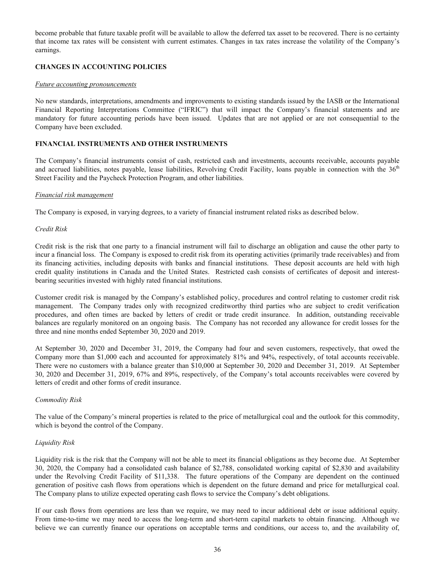<span id="page-35-0"></span>become probable that future taxable profit will be available to allow the deferred tax asset to be recovered. There is no certainty that income tax rates will be consistent with current estimates. Changes in tax rates increase the volatility of the Company's earnings.

## **CHANGES IN ACCOUNTING POLICIES**

### *Future accounting pronouncements*

No new standards, interpretations, amendments and improvements to existing standards issued by the IASB or the International Financial Reporting Interpretations Committee ("IFRIC") that will impact the Company's financial statements and are mandatory for future accounting periods have been issued. Updates that are not applied or are not consequential to the Company have been excluded.

## **FINANCIAL INSTRUMENTS AND OTHER INSTRUMENTS**

The Company's financial instruments consist of cash, restricted cash and investments, accounts receivable, accounts payable and accrued liabilities, notes payable, lease liabilities, Revolving Credit Facility, loans payable in connection with the  $36<sup>th</sup>$ Street Facility and the Paycheck Protection Program, and other liabilities.

### *Financial risk management*

The Company is exposed, in varying degrees, to a variety of financial instrument related risks as described below.

### *Credit Risk*

Credit risk is the risk that one party to a financial instrument will fail to discharge an obligation and cause the other party to incur a financial loss. The Company is exposed to credit risk from its operating activities (primarily trade receivables) and from its financing activities, including deposits with banks and financial institutions. These deposit accounts are held with high credit quality institutions in Canada and the United States. Restricted cash consists of certificates of deposit and interestbearing securities invested with highly rated financial institutions.

Customer credit risk is managed by the Company's established policy, procedures and control relating to customer credit risk management. The Company trades only with recognized creditworthy third parties who are subject to credit verification procedures, and often times are backed by letters of credit or trade credit insurance. In addition, outstanding receivable balances are regularly monitored on an ongoing basis. The Company has not recorded any allowance for credit losses for the three and nine months ended September 30, 2020 and 2019.

At September 30, 2020 and December 31, 2019, the Company had four and seven customers, respectively, that owed the Company more than \$1,000 each and accounted for approximately 81% and 94%, respectively, of total accounts receivable. There were no customers with a balance greater than \$10,000 at September 30, 2020 and December 31, 2019. At September 30, 2020 and December 31, 2019, 67% and 89%, respectively, of the Company's total accounts receivables were covered by letters of credit and other forms of credit insurance.

## *Commodity Risk*

The value of the Company's mineral properties is related to the price of metallurgical coal and the outlook for this commodity, which is beyond the control of the Company.

## *Liquidity Risk*

Liquidity risk is the risk that the Company will not be able to meet its financial obligations as they become due. At September 30, 2020, the Company had a consolidated cash balance of \$2,788, consolidated working capital of \$2,830 and availability under the Revolving Credit Facility of \$11,338. The future operations of the Company are dependent on the continued generation of positive cash flows from operations which is dependent on the future demand and price for metallurgical coal. The Company plans to utilize expected operating cash flows to service the Company's debt obligations.

If our cash flows from operations are less than we require, we may need to incur additional debt or issue additional equity. From time-to-time we may need to access the long-term and short-term capital markets to obtain financing. Although we believe we can currently finance our operations on acceptable terms and conditions, our access to, and the availability of,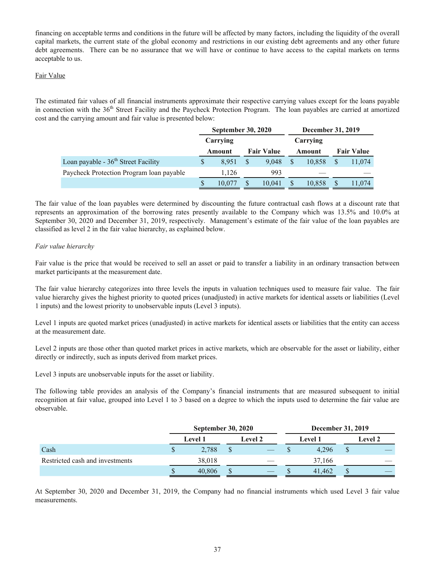<span id="page-36-0"></span>financing on acceptable terms and conditions in the future will be affected by many factors, including the liquidity of the overall capital markets, the current state of the global economy and restrictions in our existing debt agreements and any other future debt agreements. There can be no assurance that we will have or continue to have access to the capital markets on terms acceptable to us.

## Fair Value

The estimated fair values of all financial instruments approximate their respective carrying values except for the loans payable in connection with the 36<sup>th</sup> Street Facility and the Paycheck Protection Program. The loan payables are carried at amortized cost and the carrying amount and fair value is presented below:

|                                          |   | <b>September 30, 2020</b> |   |                   |          | December 31, 2019 |                   |  |
|------------------------------------------|---|---------------------------|---|-------------------|----------|-------------------|-------------------|--|
|                                          |   | Carrying                  |   |                   | Carrying |                   |                   |  |
|                                          |   | Amount                    |   | <b>Fair Value</b> | Amount   |                   | <b>Fair Value</b> |  |
| Loan payable - $36th$ Street Facility    |   | 8.951                     | S | 9.048             | 10.858   |                   | 11,074            |  |
| Paycheck Protection Program loan payable |   | 1.126                     |   | 993               |          |                   |                   |  |
|                                          | S | 10.077                    | S | 10.041            | 10,858   |                   | 11,074            |  |

The fair value of the loan payables were determined by discounting the future contractual cash flows at a discount rate that represents an approximation of the borrowing rates presently available to the Company which was 13.5% and 10.0% at September 30, 2020 and December 31, 2019, respectively. Management's estimate of the fair value of the loan payables are classified as level 2 in the fair value hierarchy, as explained below.

## *Fair value hierarchy*

Fair value is the price that would be received to sell an asset or paid to transfer a liability in an ordinary transaction between market participants at the measurement date.

The fair value hierarchy categorizes into three levels the inputs in valuation techniques used to measure fair value. The fair value hierarchy gives the highest priority to quoted prices (unadjusted) in active markets for identical assets or liabilities (Level 1 inputs) and the lowest priority to unobservable inputs (Level 3 inputs).

Level 1 inputs are quoted market prices (unadjusted) in active markets for identical assets or liabilities that the entity can access at the measurement date.

Level 2 inputs are those other than quoted market prices in active markets, which are observable for the asset or liability, either directly or indirectly, such as inputs derived from market prices.

Level 3 inputs are unobservable inputs for the asset or liability.

The following table provides an analysis of the Company's financial instruments that are measured subsequent to initial recognition at fair value, grouped into Level 1 to 3 based on a degree to which the inputs used to determine the fair value are observable.

|                                 |    | <b>September 30, 2020</b> | December 31, 2019 |                |                |  |  |  |  |
|---------------------------------|----|---------------------------|-------------------|----------------|----------------|--|--|--|--|
|                                 |    | Level 2<br><b>Level 1</b> |                   | <b>Level 1</b> | <b>Level 2</b> |  |  |  |  |
| Cash                            | \$ | 2.788                     |                   |                | 4.296          |  |  |  |  |
| Restricted cash and investments |    | 38,018                    |                   |                | 37,166         |  |  |  |  |
|                                 | S  | 40,806                    |                   |                | 41.462         |  |  |  |  |

At September 30, 2020 and December 31, 2019, the Company had no financial instruments which used Level 3 fair value measurements.